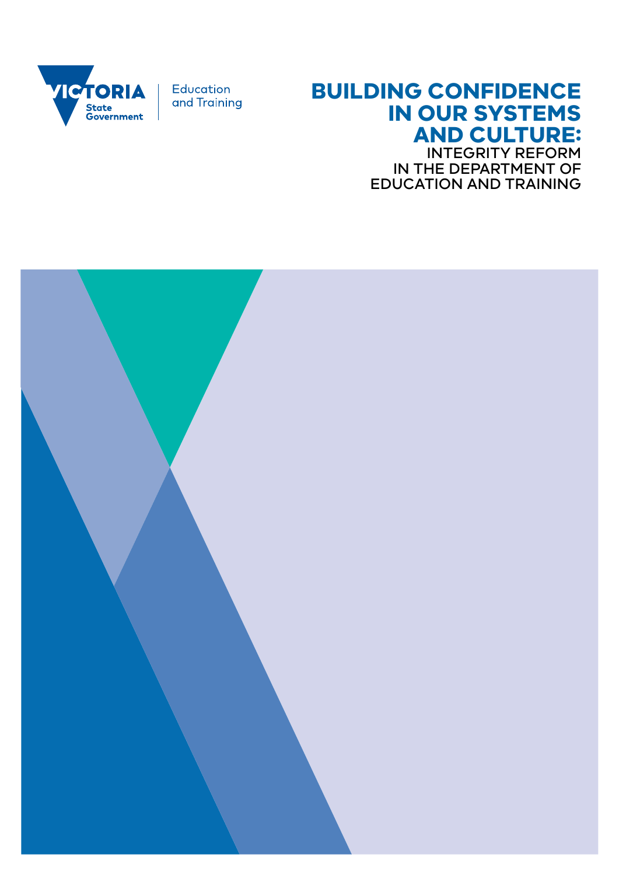

Education and Training

## **BUILDING CONFIDENCE IN OUR SYSTEMS AND CULTURE:**

INTEGRITY REFORM IN THE DEPARTMENT OF EDUCATION AND TRAINING

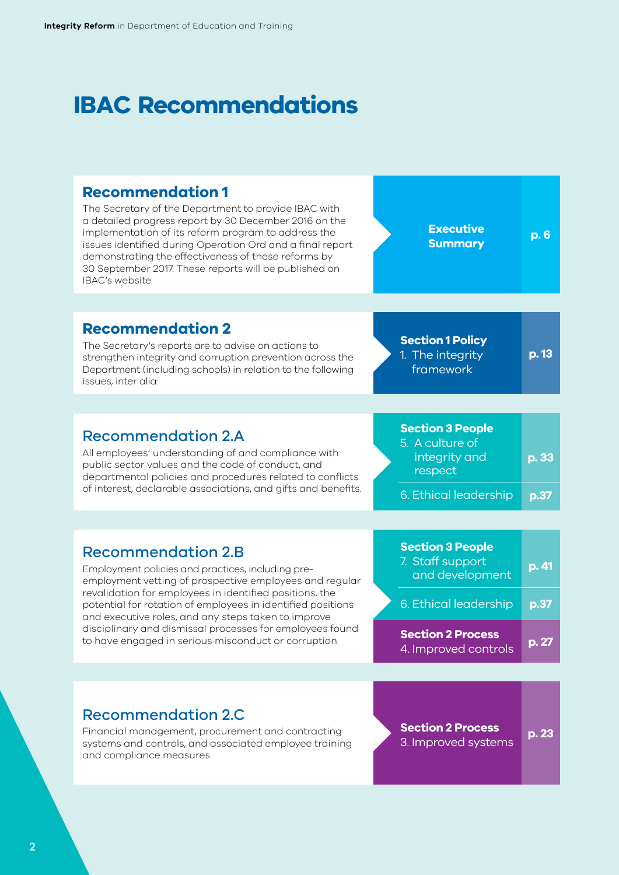## **IBAC Recommendations**

## **Recommendation 1**

The Secretary of the Department to provide IBAC with a detailed progress report by 30 December 2016 on the implementation of its reform program to address the issues identified during Operation Ord and a final report demonstrating the effectiveness of these reforms by 30 September 2017. These reports will be published on IBAC's website.

**Executive Summary**

**p. 6**

## **Recommendation 2**

The Secretary's reports are to advise on actions to strengthen integrity and corruption prevention across the Department (including schools) in relation to the following issues, inter alia:

1. The integrity framework

**Section 1 Policy** 

**p. 13**

**p. 33**

## Recommendation 2.A

All employees' understanding of and compliance with public sector values and the code of conduct, and departmental policies and procedures related to conflicts of interest, declarable associations, and gifts and benefits. **Section 3 People** 5. A culture of integrity and respect

**p.37** 6. Ethical leadership

## Recommendation 2.B

Employment policies and practices, including preemployment vetting of prospective employees and regular revalidation for employees in identified positions, the potential for rotation of employees in identified positions and executive roles, and any steps taken to improve disciplinary and dismissal processes for employees found to have engaged in serious misconduct or corruption

| <b>Section 3 People</b><br>7. Staff support<br>and development | p. 41 |
|----------------------------------------------------------------|-------|
| 6. Ethical leadership                                          | p.37  |
| <b>Section 2 Process</b><br>4. Improved controls               | p.27  |

## Recommendation 2.C

Financial management, procurement and contracting systems and controls, and associated employee training and compliance measures

**p. 23 Section 2 Process**  3. Improved systems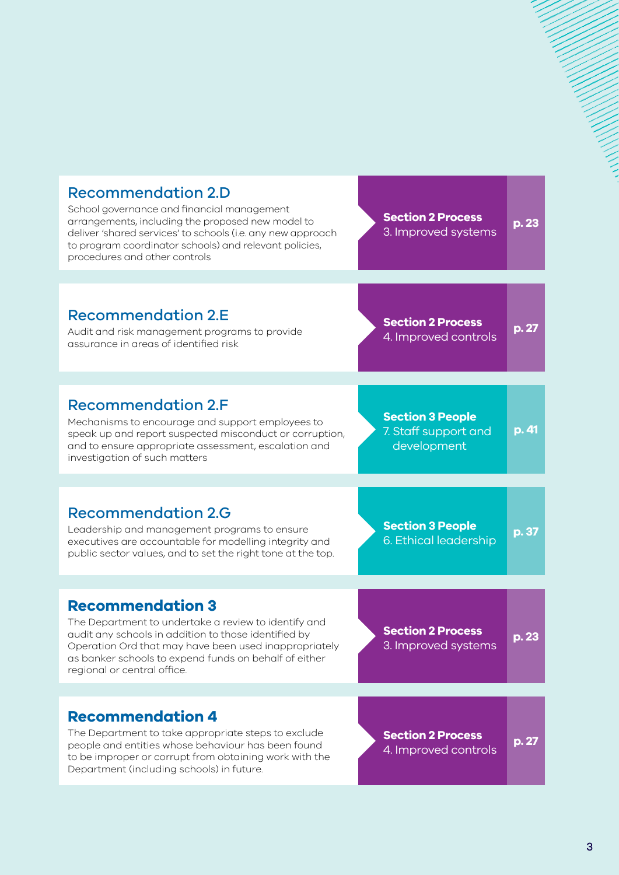| <b>Recommendation 2.D</b><br>School governance and financial management<br>arrangements, including the proposed new model to<br>deliver 'shared services' to schools (i.e. any new approach<br>to program coordinator schools) and relevant policies,<br>procedures and other controls   | <b>Section 2 Process</b><br>3. Improved systems                | p. 23 |
|------------------------------------------------------------------------------------------------------------------------------------------------------------------------------------------------------------------------------------------------------------------------------------------|----------------------------------------------------------------|-------|
|                                                                                                                                                                                                                                                                                          |                                                                |       |
| <b>Recommendation 2.E</b><br>Audit and risk management programs to provide<br>assurance in areas of identified risk                                                                                                                                                                      | <b>Section 2 Process</b><br>4. Improved controls               | p. 27 |
|                                                                                                                                                                                                                                                                                          |                                                                |       |
| <b>Recommendation 2.F</b><br>Mechanisms to encourage and support employees to<br>speak up and report suspected misconduct or corruption,<br>and to ensure appropriate assessment, escalation and<br>investigation of such matters                                                        | <b>Section 3 People</b><br>7. Staff support and<br>development | p. 41 |
|                                                                                                                                                                                                                                                                                          |                                                                |       |
| <b>Recommendation 2.G</b><br>Leadership and management programs to ensure<br>executives are accountable for modelling integrity and<br>public sector values, and to set the right tone at the top.                                                                                       | <b>Section 3 People</b><br>6. Ethical leadership               | p. 37 |
|                                                                                                                                                                                                                                                                                          |                                                                |       |
| <b>Recommendation 3</b><br>The Department to undertake a review to identify and<br>audit any schools in addition to those identified by<br>Operation Ord that may have been used inappropriately<br>as banker schools to expend funds on behalf of either<br>regional or central office. | <b>Section 2 Process</b><br>3. Improved systems                | p. 23 |
|                                                                                                                                                                                                                                                                                          |                                                                |       |
| <b>Recommendation 4</b><br>The Department to take appropriate steps to exclude<br>people and entities whose behaviour has been found<br>to be improper or corrupt from obtaining work with the<br>Department (including schools) in future.                                              | <b>Section 2 Process</b><br>4. Improved controls               | p.27  |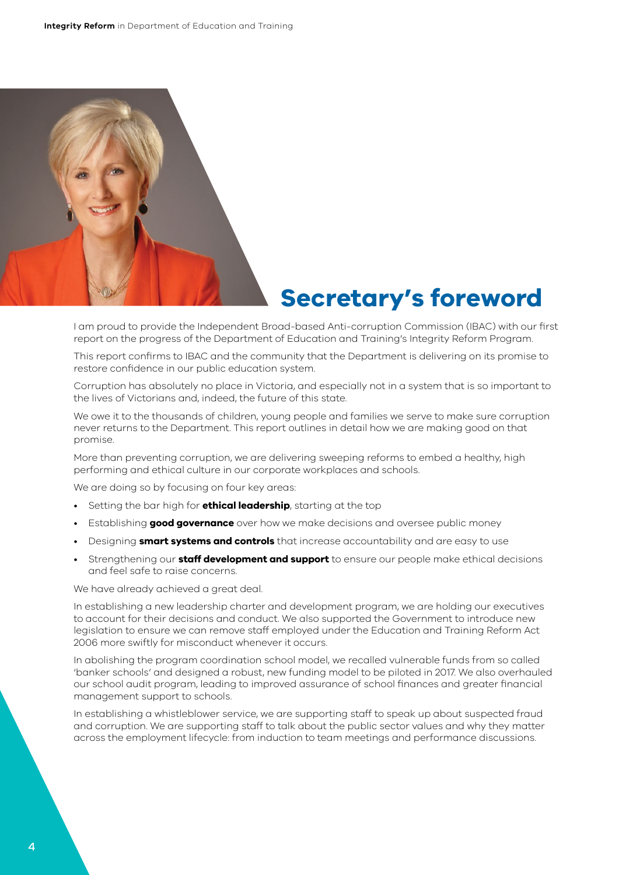

## **Secretary's foreword**

I am proud to provide the Independent Broad-based Anti-corruption Commission (IBAC) with our first report on the progress of the Department of Education and Training's Integrity Reform Program.

This report confirms to IBAC and the community that the Department is delivering on its promise to restore confidence in our public education system.

Corruption has absolutely no place in Victoria, and especially not in a system that is so important to the lives of Victorians and, indeed, the future of this state.

We owe it to the thousands of children, young people and families we serve to make sure corruption never returns to the Department. This report outlines in detail how we are making good on that promise.

More than preventing corruption, we are delivering sweeping reforms to embed a healthy, high performing and ethical culture in our corporate workplaces and schools.

We are doing so by focusing on four key areas:

- Setting the bar high for **ethical leadership**, starting at the top
- Establishing **good governance** over how we make decisions and oversee public money
- Designing **smart systems and controls** that increase accountability and are easy to use
- Strengthening our **staff development and support** to ensure our people make ethical decisions and feel safe to raise concerns.

We have already achieved a great deal.

In establishing a new leadership charter and development program, we are holding our executives to account for their decisions and conduct. We also supported the Government to introduce new legislation to ensure we can remove staff employed under the Education and Training Reform Act 2006 more swiftly for misconduct whenever it occurs.

In abolishing the program coordination school model, we recalled vulnerable funds from so called 'banker schools' and designed a robust, new funding model to be piloted in 2017. We also overhauled our school audit program, leading to improved assurance of school finances and greater financial management support to schools.

In establishing a whistleblower service, we are supporting staff to speak up about suspected fraud and corruption. We are supporting staff to talk about the public sector values and why they matter across the employment lifecycle: from induction to team meetings and performance discussions.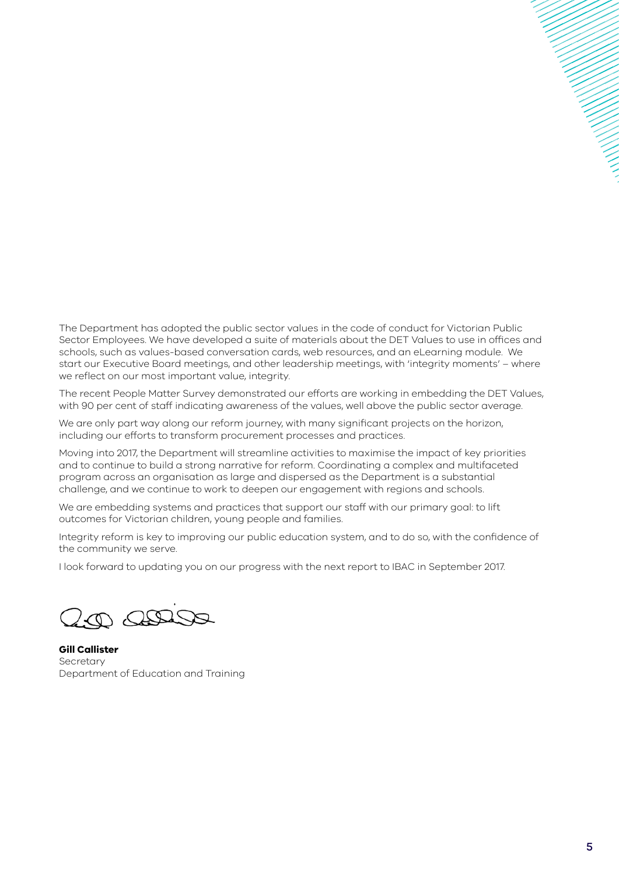The Department has adopted the public sector values in the code of conduct for Victorian Public Sector Employees. We have developed a suite of materials about the DET Values to use in offices and schools, such as values-based conversation cards, web resources, and an eLearning module. We start our Executive Board meetings, and other leadership meetings, with 'integrity moments' – where we reflect on our most important value, integrity.

The recent People Matter Survey demonstrated our efforts are working in embedding the DET Values, with 90 per cent of staff indicating awareness of the values, well above the public sector average.

We are only part way along our reform journey, with many significant projects on the horizon, including our efforts to transform procurement processes and practices.

Moving into 2017, the Department will streamline activities to maximise the impact of key priorities and to continue to build a strong narrative for reform. Coordinating a complex and multifaceted program across an organisation as large and dispersed as the Department is a substantial challenge, and we continue to work to deepen our engagement with regions and schools.

We are embedding systems and practices that support our staff with our primary goal: to lift outcomes for Victorian children, young people and families.

Integrity reform is key to improving our public education system, and to do so, with the confidence of the community we serve.

I look forward to updating you on our progress with the next report to IBAC in September 2017.

 $200<sup>2</sup>$ 

**Gill Callister** Secretary Department of Education and Training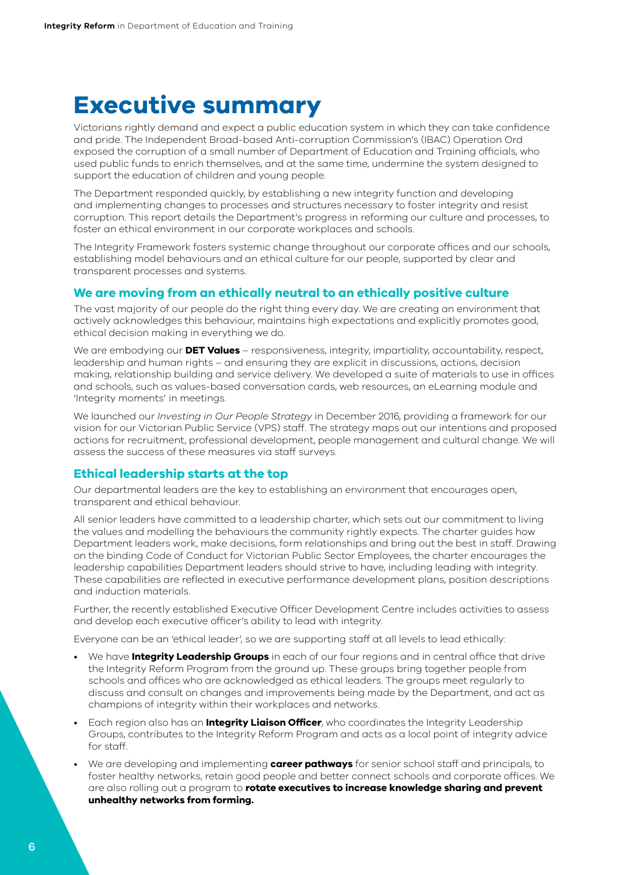## **Executive summary**

Victorians rightly demand and expect a public education system in which they can take confidence and pride. The Independent Broad-based Anti-corruption Commission's (IBAC) Operation Ord exposed the corruption of a small number of Department of Education and Training officials, who used public funds to enrich themselves, and at the same time, undermine the system designed to support the education of children and young people.

The Department responded quickly, by establishing a new integrity function and developing and implementing changes to processes and structures necessary to foster integrity and resist corruption. This report details the Department's progress in reforming our culture and processes, to foster an ethical environment in our corporate workplaces and schools.

The Integrity Framework fosters systemic change throughout our corporate offices and our schools, establishing model behaviours and an ethical culture for our people, supported by clear and transparent processes and systems.

### **We are moving from an ethically neutral to an ethically positive culture**

The vast majority of our people do the right thing every day. We are creating an environment that actively acknowledges this behaviour, maintains high expectations and explicitly promotes good, ethical decision making in everything we do.

We are embodying our **DET Values** – responsiveness, integrity, impartiality, accountability, respect, leadership and human rights – and ensuring they are explicit in discussions, actions, decision making, relationship building and service delivery. We developed a suite of materials to use in offices and schools, such as values-based conversation cards, web resources, an eLearning module and 'Integrity moments' in meetings.

We launched our *Investing in Our People Strategy* in December 2016, providing a framework for our vision for our Victorian Public Service (VPS) staff. The strategy maps out our intentions and proposed actions for recruitment, professional development, people management and cultural change. We will assess the success of these measures via staff surveys.

## **Ethical leadership starts at the top**

Our departmental leaders are the key to establishing an environment that encourages open, transparent and ethical behaviour.

All senior leaders have committed to a leadership charter, which sets out our commitment to living the values and modelling the behaviours the community rightly expects. The charter guides how Department leaders work, make decisions, form relationships and bring out the best in staff. Drawing on the binding Code of Conduct for Victorian Public Sector Employees, the charter encourages the leadership capabilities Department leaders should strive to have, including leading with integrity. These capabilities are reflected in executive performance development plans, position descriptions and induction materials.

Further, the recently established Executive Officer Development Centre includes activities to assess and develop each executive officer's ability to lead with integrity.

Everyone can be an 'ethical leader', so we are supporting staff at all levels to lead ethically:

- We have **Integrity Leadership Groups** in each of our four regions and in central office that drive the Integrity Reform Program from the ground up. These groups bring together people from schools and offices who are acknowledged as ethical leaders. The groups meet regularly to discuss and consult on changes and improvements being made by the Department, and act as champions of integrity within their workplaces and networks.
- Each region also has an **Integrity Liaison Officer**, who coordinates the Integrity Leadership Groups, contributes to the Integrity Reform Program and acts as a local point of integrity advice for staff.
- We are developing and implementing **career pathways** for senior school staff and principals, to foster healthy networks, retain good people and better connect schools and corporate offices. We are also rolling out a program to **rotate executives to increase knowledge sharing and prevent unhealthy networks from forming.**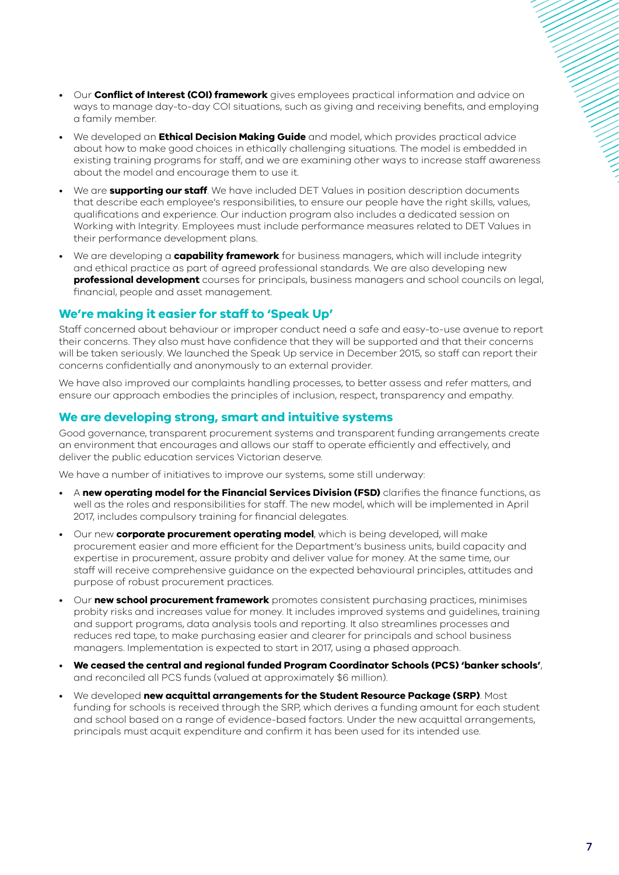- Our **Conflict of Interest (COI) framework** gives employees practical information and advice on ways to manage day-to-day COI situations, such as giving and receiving benefits, and employing a family member.
- We developed an **Ethical Decision Making Guide** and model, which provides practical advice about how to make good choices in ethically challenging situations. The model is embedded in existing training programs for staff, and we are examining other ways to increase staff awareness about the model and encourage them to use it.
- We are **supporting our staff**. We have included DET Values in position description documents that describe each employee's responsibilities, to ensure our people have the right skills, values, qualifications and experience. Our induction program also includes a dedicated session on Working with Integrity. Employees must include performance measures related to DET Values in their performance development plans.
- We are developing a **capability framework** for business managers, which will include integrity and ethical practice as part of agreed professional standards. We are also developing new **professional development** courses for principals, business managers and school councils on legal, financial, people and asset management.

## **We're making it easier for staff to 'Speak Up'**

Staff concerned about behaviour or improper conduct need a safe and easy-to-use avenue to report their concerns. They also must have confidence that they will be supported and that their concerns will be taken seriously. We launched the Speak Up service in December 2015, so staff can report their concerns confidentially and anonymously to an external provider.

We have also improved our complaints handling processes, to better assess and refer matters, and ensure our approach embodies the principles of inclusion, respect, transparency and empathy.

## **We are developing strong, smart and intuitive systems**

Good governance, transparent procurement systems and transparent funding arrangements create an environment that encourages and allows our staff to operate efficiently and effectively, and deliver the public education services Victorian deserve.

We have a number of initiatives to improve our systems, some still underway:

- A **new operating model for the Financial Services Division (FSD)** clarifies the finance functions, as well as the roles and responsibilities for staff. The new model, which will be implemented in April 2017, includes compulsory training for financial delegates.
- Our new **corporate procurement operating model**, which is being developed, will make procurement easier and more efficient for the Department's business units, build capacity and expertise in procurement, assure probity and deliver value for money. At the same time, our staff will receive comprehensive guidance on the expected behavioural principles, attitudes and purpose of robust procurement practices.
- Our **new school procurement framework** promotes consistent purchasing practices, minimises probity risks and increases value for money. It includes improved systems and guidelines, training and support programs, data analysis tools and reporting. It also streamlines processes and reduces red tape, to make purchasing easier and clearer for principals and school business managers. Implementation is expected to start in 2017, using a phased approach.
- **We ceased the central and regional funded Program Coordinator Schools (PCS) 'banker schools'**, and reconciled all PCS funds (valued at approximately \$6 million).
- We developed **new acquittal arrangements for the Student Resource Package (SRP)**. Most funding for schools is received through the SRP, which derives a funding amount for each student and school based on a range of evidence-based factors. Under the new acquittal arrangements, principals must acquit expenditure and confirm it has been used for its intended use.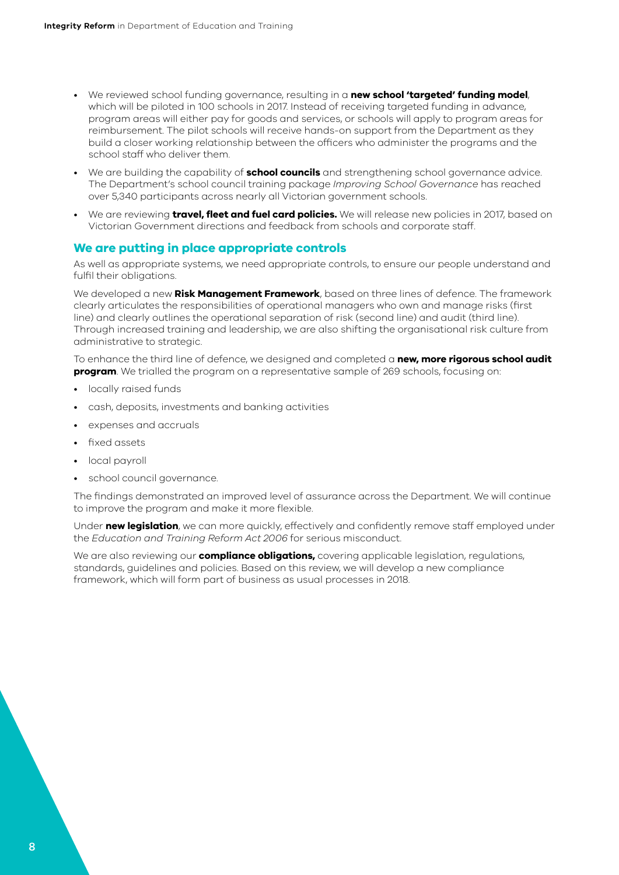- We reviewed school funding governance, resulting in a **new school 'targeted' funding model**, which will be piloted in 100 schools in 2017. Instead of receiving targeted funding in advance, program areas will either pay for goods and services, or schools will apply to program areas for reimbursement. The pilot schools will receive hands-on support from the Department as they build a closer working relationship between the officers who administer the programs and the school staff who deliver them.
- We are building the capability of **school councils** and strengthening school governance advice. The Department's school council training package *Improving School Governance* has reached over 5,340 participants across nearly all Victorian government schools.
- We are reviewing **travel, fleet and fuel card policies.** We will release new policies in 2017, based on Victorian Government directions and feedback from schools and corporate staff.

### **We are putting in place appropriate controls**

As well as appropriate systems, we need appropriate controls, to ensure our people understand and fulfil their obligations.

We developed a new **Risk Management Framework**, based on three lines of defence. The framework clearly articulates the responsibilities of operational managers who own and manage risks (first line) and clearly outlines the operational separation of risk (second line) and audit (third line). Through increased training and leadership, we are also shifting the organisational risk culture from administrative to strategic.

To enhance the third line of defence, we designed and completed a **new, more rigorous school audit program**. We trialled the program on a representative sample of 269 schools, focusing on:

- locally raised funds
- cash, deposits, investments and banking activities
- expenses and accruals
- fixed assets
- local payroll
- school council governance.

The findings demonstrated an improved level of assurance across the Department. We will continue to improve the program and make it more flexible.

Under **new legislation**, we can more quickly, effectively and confidently remove staff employed under the *Education and Training Reform Act 2006* for serious misconduct.

We are also reviewing our **compliance obligations,** covering applicable legislation, regulations, standards, guidelines and policies. Based on this review, we will develop a new compliance framework, which will form part of business as usual processes in 2018.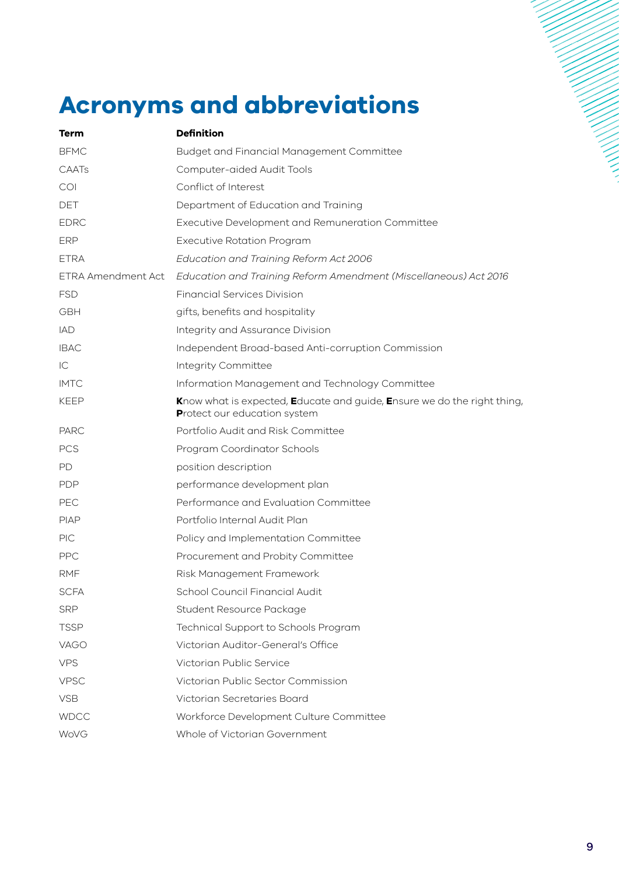# **Acronyms and abbreviations**

| Term               | <b>Definition</b>                                                                                       |
|--------------------|---------------------------------------------------------------------------------------------------------|
| <b>BFMC</b>        | <b>Budget and Financial Management Committee</b>                                                        |
| CAATs              | Computer-aided Audit Tools                                                                              |
| COI                | Conflict of Interest                                                                                    |
| <b>DET</b>         | Department of Education and Training                                                                    |
| <b>EDRC</b>        | Executive Development and Remuneration Committee                                                        |
| <b>ERP</b>         | <b>Executive Rotation Program</b>                                                                       |
| <b>ETRA</b>        | Education and Training Reform Act 2006                                                                  |
| ETRA Amendment Act | Education and Training Reform Amendment (Miscellaneous) Act 2016                                        |
| <b>FSD</b>         | <b>Financial Services Division</b>                                                                      |
| GBH                | gifts, benefits and hospitality                                                                         |
| <b>IAD</b>         | Integrity and Assurance Division                                                                        |
| <b>IBAC</b>        | Independent Broad-based Anti-corruption Commission                                                      |
| IC                 | Integrity Committee                                                                                     |
| <b>IMTC</b>        | Information Management and Technology Committee                                                         |
| <b>KEEP</b>        | Know what is expected, Educate and guide, Ensure we do the right thing,<br>Protect our education system |
| <b>PARC</b>        | Portfolio Audit and Risk Committee                                                                      |
| <b>PCS</b>         | Program Coordinator Schools                                                                             |
| <b>PD</b>          | position description                                                                                    |
| <b>PDP</b>         | performance development plan                                                                            |
| <b>PEC</b>         | Performance and Evaluation Committee                                                                    |
| <b>PIAP</b>        | Portfolio Internal Audit Plan                                                                           |
| <b>PIC</b>         | Policy and Implementation Committee                                                                     |
| <b>PPC</b>         | Procurement and Probity Committee                                                                       |
| <b>RMF</b>         | Risk Management Framework                                                                               |
| <b>SCFA</b>        | School Council Financial Audit                                                                          |
| <b>SRP</b>         | Student Resource Package                                                                                |
| <b>TSSP</b>        | Technical Support to Schools Program                                                                    |
| VAGO               | Victorian Auditor-General's Office                                                                      |
| <b>VPS</b>         | Victorian Public Service                                                                                |
| <b>VPSC</b>        | Victorian Public Sector Commission                                                                      |
| <b>VSB</b>         | Victorian Secretaries Board                                                                             |
| <b>WDCC</b>        | Workforce Development Culture Committee                                                                 |
| WoVG               | Whole of Victorian Government                                                                           |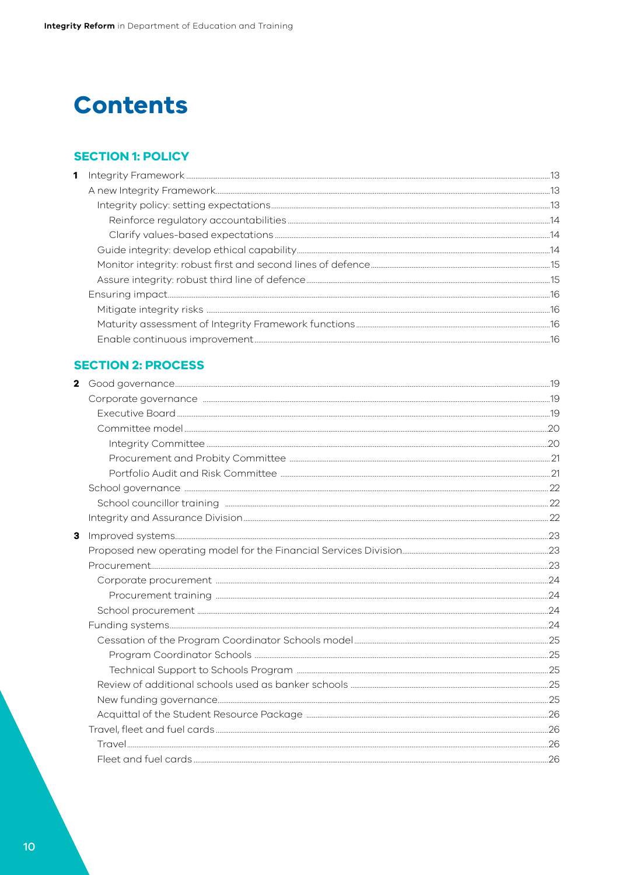## **Contents**

## **SECTION 1: POLICY**

## **SECTION 2: PROCESS**

| $\mathbf{2}$ |  |
|--------------|--|
|              |  |
|              |  |
|              |  |
|              |  |
|              |  |
|              |  |
|              |  |
|              |  |
|              |  |
| 3            |  |
|              |  |
|              |  |
|              |  |
|              |  |
|              |  |
|              |  |
|              |  |
|              |  |
|              |  |
|              |  |
|              |  |
|              |  |
|              |  |
|              |  |
|              |  |
|              |  |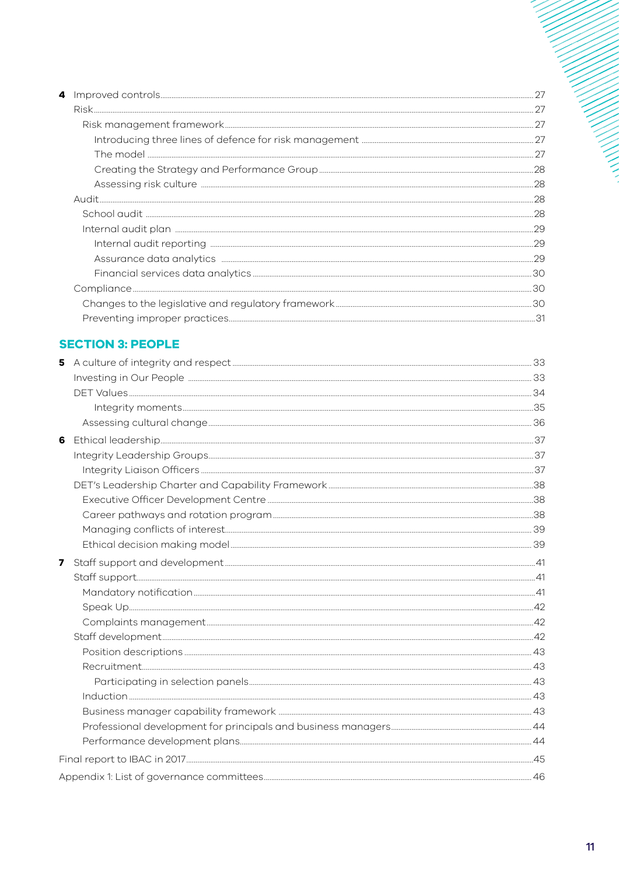|  | .28 |
|--|-----|
|  |     |
|  | .28 |
|  | .29 |
|  |     |
|  | .29 |
|  |     |
|  |     |
|  |     |
|  |     |
|  |     |

## **SECTION 3: PEOPLE**

| 5 |  |
|---|--|
|   |  |
|   |  |
|   |  |
|   |  |
| 6 |  |
|   |  |
|   |  |
|   |  |
|   |  |
|   |  |
|   |  |
|   |  |
| 7 |  |
|   |  |
|   |  |
|   |  |
|   |  |
|   |  |
|   |  |
|   |  |
|   |  |
|   |  |
|   |  |
|   |  |
|   |  |
|   |  |
|   |  |
|   |  |

ニーニー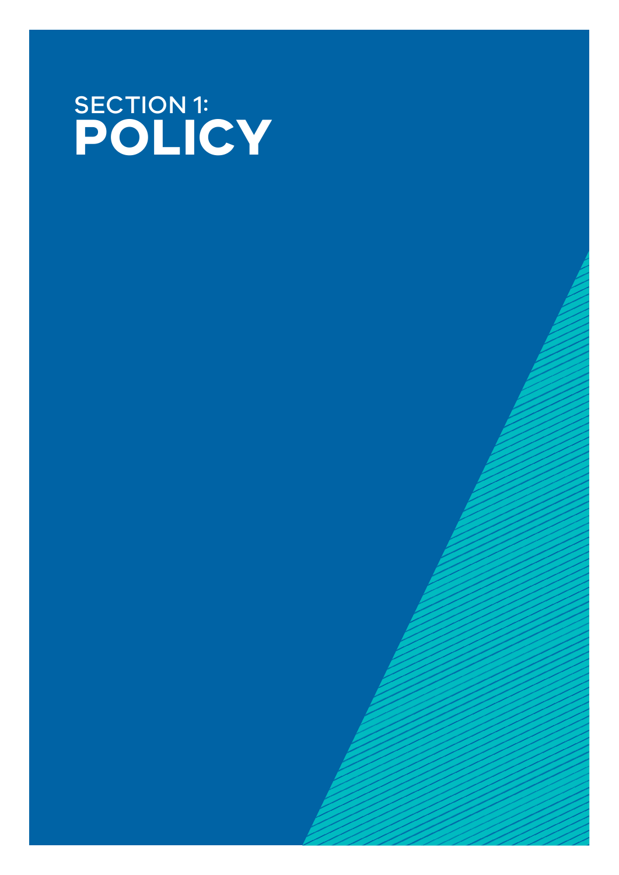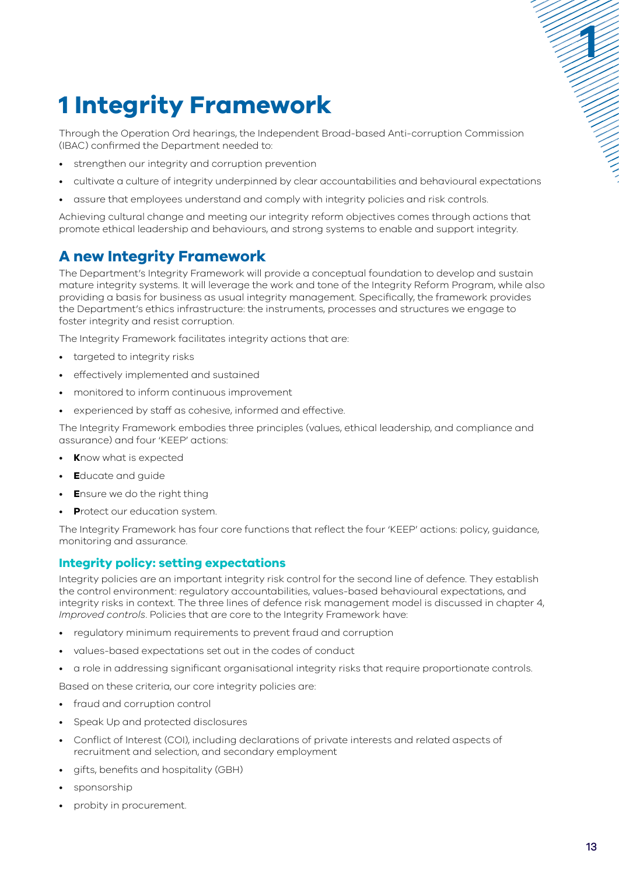# <span id="page-12-0"></span>**1 Integrity Framework**

Through the Operation Ord hearings, the Independent Broad-based Anti-corruption Commission (IBAC) confirmed the Department needed to:

- strengthen our integrity and corruption prevention
- cultivate a culture of integrity underpinned by clear accountabilities and behavioural expectations
- assure that employees understand and comply with integrity policies and risk controls.

Achieving cultural change and meeting our integrity reform objectives comes through actions that promote ethical leadership and behaviours, and strong systems to enable and support integrity.

## **A new Integrity Framework**

The Department's Integrity Framework will provide a conceptual foundation to develop and sustain mature integrity systems. It will leverage the work and tone of the Integrity Reform Program, while also providing a basis for business as usual integrity management. Specifically, the framework provides the Department's ethics infrastructure: the instruments, processes and structures we engage to foster integrity and resist corruption.

The Integrity Framework facilitates integrity actions that are:

- targeted to integrity risks
- effectively implemented and sustained
- monitored to inform continuous improvement
- experienced by staff as cohesive, informed and effective.

The Integrity Framework embodies three principles (values, ethical leadership, and compliance and assurance) and four 'KEEP' actions:

- **K**now what is expected
- **E**ducate and guide
- **E**nsure we do the right thing
- **P**rotect our education system.

The Integrity Framework has four core functions that reflect the four 'KEEP' actions: policy, guidance, monitoring and assurance.

## **Integrity policy: setting expectations**

Integrity policies are an important integrity risk control for the second line of defence. They establish the control environment: regulatory accountabilities, values-based behavioural expectations, and integrity risks in context. The three lines of defence risk management model is discussed in chapter 4, *Improved controls*. Policies that are core to the Integrity Framework have:

- regulatory minimum requirements to prevent fraud and corruption
- values-based expectations set out in the codes of conduct
- a role in addressing significant organisational integrity risks that require proportionate controls.

Based on these criteria, our core integrity policies are:

- fraud and corruption control
- Speak Up and protected disclosures
- Conflict of Interest (COI), including declarations of private interests and related aspects of recruitment and selection, and secondary employment
- gifts, benefits and hospitality (GBH)
- sponsorship
- probity in procurement.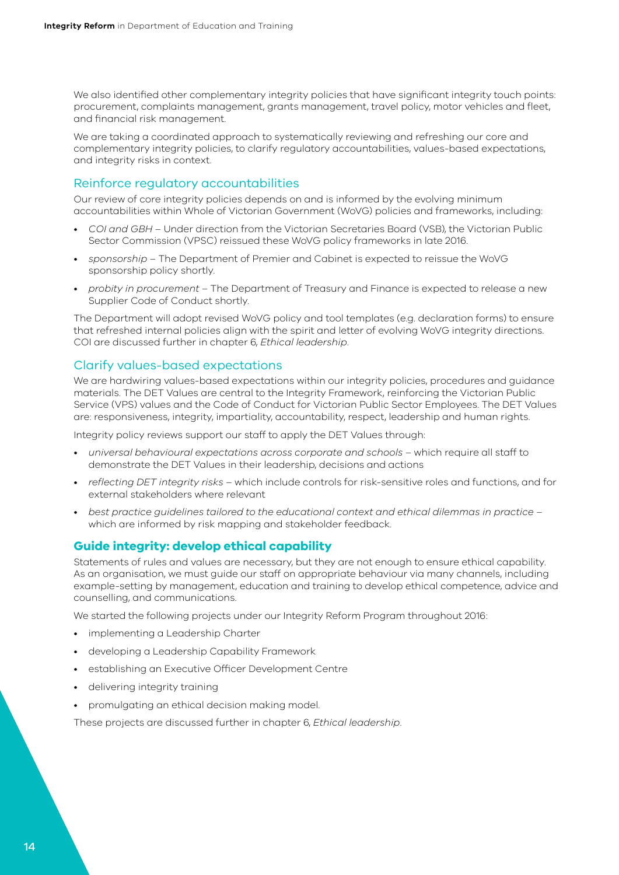<span id="page-13-0"></span>We also identified other complementary integrity policies that have significant integrity touch points: procurement, complaints management, grants management, travel policy, motor vehicles and fleet, and financial risk management.

We are taking a coordinated approach to systematically reviewing and refreshing our core and complementary integrity policies, to clarify regulatory accountabilities, values-based expectations, and integrity risks in context.

### Reinforce regulatory accountabilities

Our review of core integrity policies depends on and is informed by the evolving minimum accountabilities within Whole of Victorian Government (WoVG) policies and frameworks, including:

- *COI and GBH* Under direction from the Victorian Secretaries Board (VSB), the Victorian Public Sector Commission (VPSC) reissued these WoVG policy frameworks in late 2016.
- *sponsorship* The Department of Premier and Cabinet is expected to reissue the WoVG sponsorship policy shortly.
- *probity in procurement* The Department of Treasury and Finance is expected to release a new Supplier Code of Conduct shortly.

The Department will adopt revised WoVG policy and tool templates (e.g. declaration forms) to ensure that refreshed internal policies align with the spirit and letter of evolving WoVG integrity directions. COI are discussed further in chapter 6, *Ethical leadership*.

### Clarify values-based expectations

We are hardwiring values-based expectations within our integrity policies, procedures and guidance materials. The DET Values are central to the Integrity Framework, reinforcing the Victorian Public Service (VPS) values and the Code of Conduct for Victorian Public Sector Employees. The DET Values are: responsiveness, integrity, impartiality, accountability, respect, leadership and human rights.

Integrity policy reviews support our staff to apply the DET Values through:

- *universal behavioural expectations across corporate and schools* which require all staff to demonstrate the DET Values in their leadership, decisions and actions
- *reflecting DET integrity risks* which include controls for risk-sensitive roles and functions, and for external stakeholders where relevant
- *best practice guidelines tailored to the educational context and ethical dilemmas in practice* which are informed by risk mapping and stakeholder feedback.

## **Guide integrity: develop ethical capability**

Statements of rules and values are necessary, but they are not enough to ensure ethical capability. As an organisation, we must guide our staff on appropriate behaviour via many channels, including example-setting by management, education and training to develop ethical competence, advice and counselling, and communications.

We started the following projects under our Integrity Reform Program throughout 2016:

- implementing a Leadership Charter
- developing a Leadership Capability Framework
- establishing an Executive Officer Development Centre
- delivering integrity training
- promulgating an ethical decision making model.

These projects are discussed further in chapter 6, *Ethical leadership*.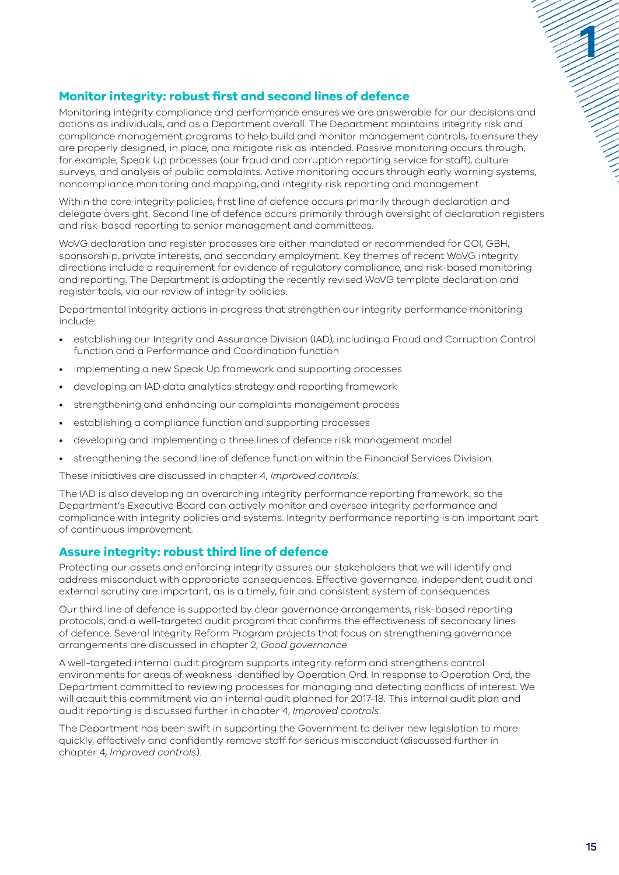## <span id="page-14-0"></span>**Monitor integrity: robust first and second lines of defence**

Monitoring integrity compliance and performance ensures we are answerable for our decisions and actions as individuals, and as a Department overall. The Department maintains integrity risk and compliance management programs to help build and monitor management controls, to ensure they are properly designed, in place, and mitigate risk as intended. Passive monitoring occurs through, for example, Speak Up processes (our fraud and corruption reporting service for staff), culture surveys, and analysis of public complaints. Active monitoring occurs through early warning systems, noncompliance monitoring and mapping, and integrity risk reporting and management.

Within the core integrity policies, first line of defence occurs primarily through declaration and delegate oversight. Second line of defence occurs primarily through oversight of declaration registers and risk-based reporting to senior management and committees.

WoVG declaration and register processes are either mandated or recommended for COI, GBH, sponsorship, private interests, and secondary employment. Key themes of recent WoVG integrity directions include a requirement for evidence of regulatory compliance, and risk-based monitoring and reporting. The Department is adopting the recently revised WoVG template declaration and register tools, via our review of integrity policies.

Departmental integrity actions in progress that strengthen our integrity performance monitoring include:

- establishing our Integrity and Assurance Division (IAD), including a Fraud and Corruption Control function and a Performance and Coordination function
- implementing a new Speak Up framework and supporting processes
- developing an IAD data analytics strategy and reporting framework
- strengthening and enhancing our complaints management process
- establishing a compliance function and supporting processes
- developing and implementing a three lines of defence risk management model
- strengthening the second line of defence function within the Financial Services Division.

These initiatives are discussed in chapter 4, *Improved controls.*

The IAD is also developing an overarching integrity performance reporting framework, so the Department's Executive Board can actively monitor and oversee integrity performance and compliance with integrity policies and systems. Integrity performance reporting is an important part of continuous improvement.

#### **Assure integrity: robust third line of defence**

Protecting our assets and enforcing integrity assures our stakeholders that we will identify and address misconduct with appropriate consequences. Effective governance, independent audit and external scrutiny are important, as is a timely, fair and consistent system of consequences.

Our third line of defence is supported by clear governance arrangements, risk-based reporting protocols, and a well-targeted audit program that confirms the effectiveness of secondary lines of defence. Several Integrity Reform Program projects that focus on strengthening governance arrangements are discussed in chapter 2, *Good governance*.

A well-targeted internal audit program supports integrity reform and strengthens control environments for areas of weakness identified by Operation Ord. In response to Operation Ord, the Department committed to reviewing processes for managing and detecting conflicts of interest. We will acquit this commitment via an internal audit planned for 2017-18. This internal audit plan and audit reporting is discussed further in chapter 4, *Improved controls*.

The Department has been swift in supporting the Government to deliver new legislation to more quickly, effectively and confidently remove staff for serious misconduct (discussed further in chapter 4*, Improved controls*).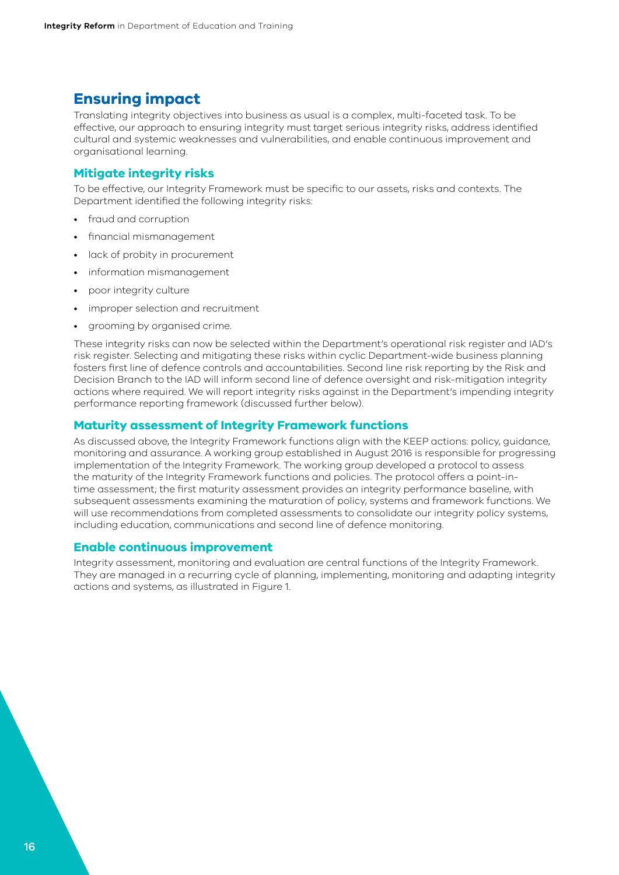## <span id="page-15-0"></span>**Ensuring impact**

Translating integrity objectives into business as usual is a complex, multi-faceted task. To be effective, our approach to ensuring integrity must target serious integrity risks, address identified cultural and systemic weaknesses and vulnerabilities, and enable continuous improvement and organisational learning.

## **Mitigate integrity risks**

To be effective, our Integrity Framework must be specific to our assets, risks and contexts. The Department identified the following integrity risks:

- fraud and corruption
- financial mismanagement
- lack of probity in procurement
- information mismanagement
- poor integrity culture
- improper selection and recruitment
- grooming by organised crime.

These integrity risks can now be selected within the Department's operational risk register and IAD's risk register. Selecting and mitigating these risks within cyclic Department-wide business planning fosters first line of defence controls and accountabilities. Second line risk reporting by the Risk and Decision Branch to the IAD will inform second line of defence oversight and risk-mitigation integrity actions where required. We will report integrity risks against in the Department's impending integrity performance reporting framework (discussed further below).

#### **Maturity assessment of Integrity Framework functions**

As discussed above, the Integrity Framework functions align with the KEEP actions: policy, guidance, monitoring and assurance. A working group established in August 2016 is responsible for progressing implementation of the Integrity Framework. The working group developed a protocol to assess the maturity of the Integrity Framework functions and policies. The protocol offers a point-intime assessment; the first maturity assessment provides an integrity performance baseline, with subsequent assessments examining the maturation of policy, systems and framework functions. We will use recommendations from completed assessments to consolidate our integrity policy systems, including education, communications and second line of defence monitoring.

#### **Enable continuous improvement**

Integrity assessment, monitoring and evaluation are central functions of the Integrity Framework. They are managed in a recurring cycle of planning, implementing, monitoring and adapting integrity actions and systems, as illustrated in [Figure 1](#page-16-0).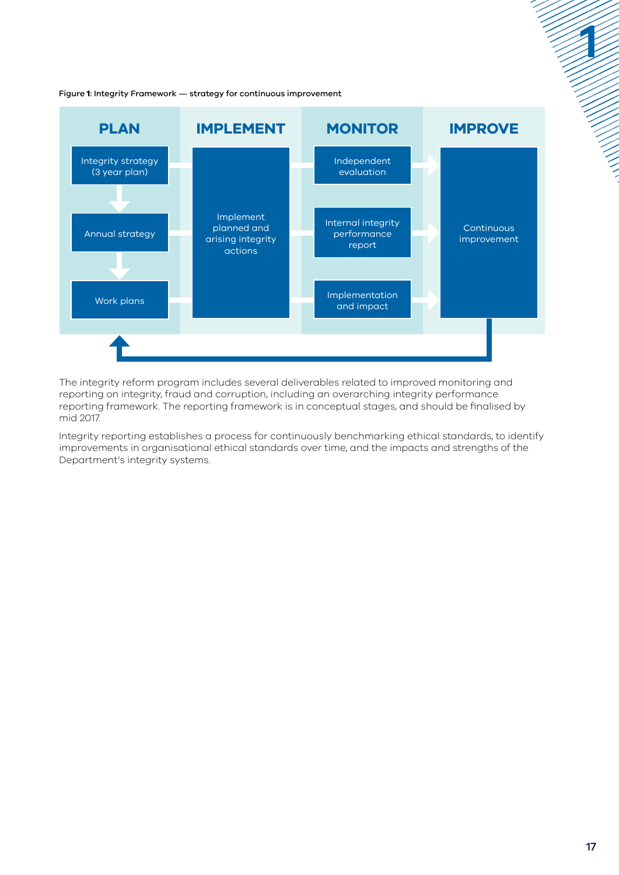

<span id="page-16-0"></span>Figure **1**: Integrity Framework — strategy for continuous improvement

The integrity reform program includes several deliverables related to improved monitoring and reporting on integrity, fraud and corruption, including an overarching integrity performance reporting framework. The reporting framework is in conceptual stages, and should be finalised by mid 2017.

Integrity reporting establishes a process for continuously benchmarking ethical standards, to identify improvements in organisational ethical standards over time, and the impacts and strengths of the Department's integrity systems.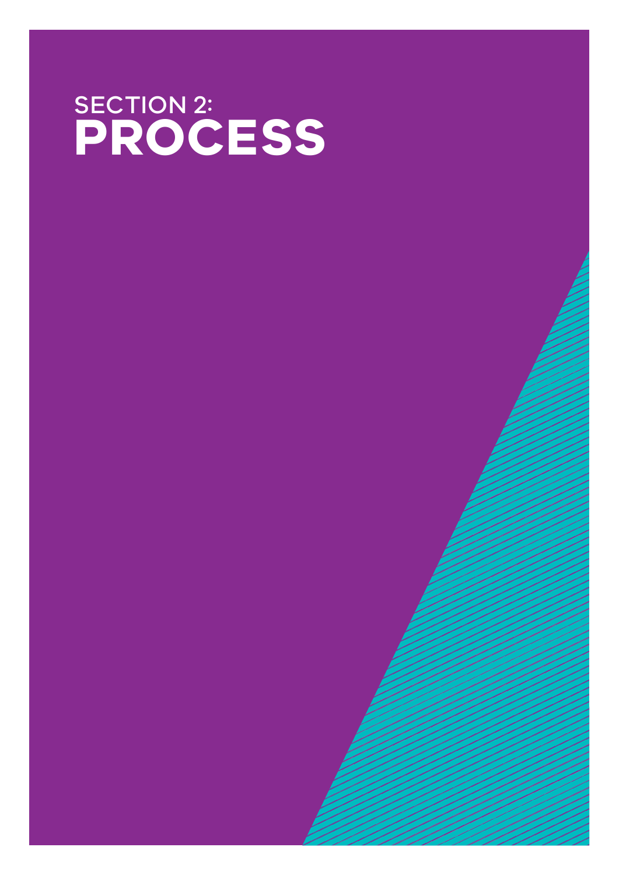# SECTION 2: **PROCESS**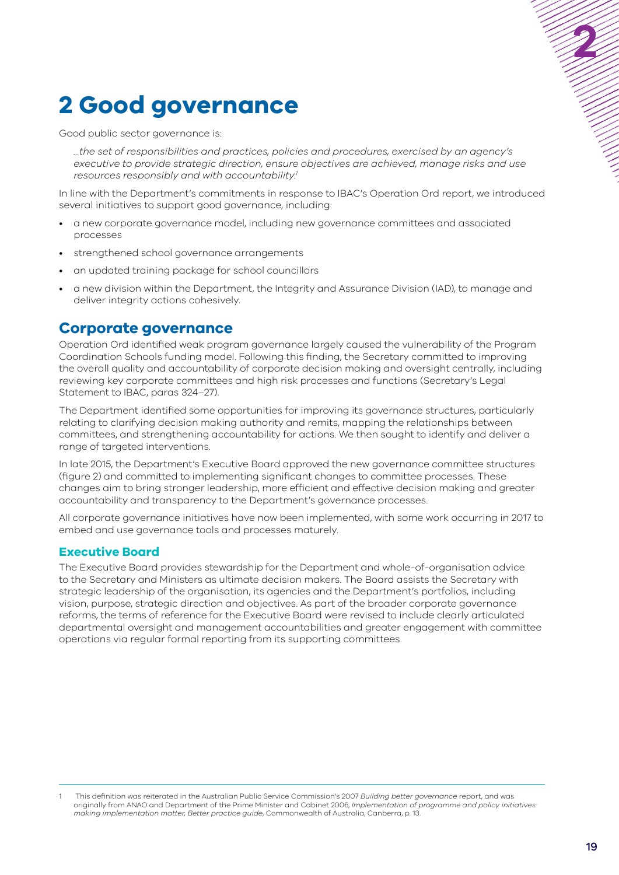## <span id="page-18-0"></span>**2 Good governance**

Good public sector governance is:

*…the set of responsibilities and practices, policies and procedures, exercised by an agency's executive to provide strategic direction, ensure objectives are achieved, manage risks and use resources responsibly and with accountability.1*

In line with the Department's commitments in response to IBAC's Operation Ord report, we introduced several initiatives to support good governance, including:

- a new corporate governance model, including new governance committees and associated processes
- strengthened school governance arrangements
- an updated training package for school councillors
- a new division within the Department, the Integrity and Assurance Division (IAD), to manage and deliver integrity actions cohesively.

## **Corporate governance**

Operation Ord identified weak program governance largely caused the vulnerability of the Program Coordination Schools funding model. Following this finding, the Secretary committed to improving the overall quality and accountability of corporate decision making and oversight centrally, including reviewing key corporate committees and high risk processes and functions (Secretary's Legal Statement to IBAC, paras 324–27).

The Department identified some opportunities for improving its governance structures, particularly relating to clarifying decision making authority and remits, mapping the relationships between committees, and strengthening accountability for actions. We then sought to identify and deliver a range of targeted interventions.

In late 2015, the Department's Executive Board approved the new governance committee structures (figure 2) and committed to implementing significant changes to committee processes. These changes aim to bring stronger leadership, more efficient and effective decision making and greater accountability and transparency to the Department's governance processes.

All corporate governance initiatives have now been implemented, with some work occurring in 2017 to embed and use governance tools and processes maturely.

#### **Executive Board**

The Executive Board provides stewardship for the Department and whole-of-organisation advice to the Secretary and Ministers as ultimate decision makers. The Board assists the Secretary with strategic leadership of the organisation, its agencies and the Department's portfolios, including vision, purpose, strategic direction and objectives. As part of the broader corporate governance reforms, the terms of reference for the Executive Board were revised to include clearly articulated departmental oversight and management accountabilities and greater engagement with committee operations via regular formal reporting from its supporting committees.

<sup>1</sup> This definition was reiterated in the Australian Public Service Commission's 2007 *Building better governance* report, and was originally from ANAO and Department of the Prime Minister and Cabinet 2006, *Implementation of programme and policy initiatives: making implementation matter, Better practice guide*, Commonwealth of Australia, Canberra, p. 13.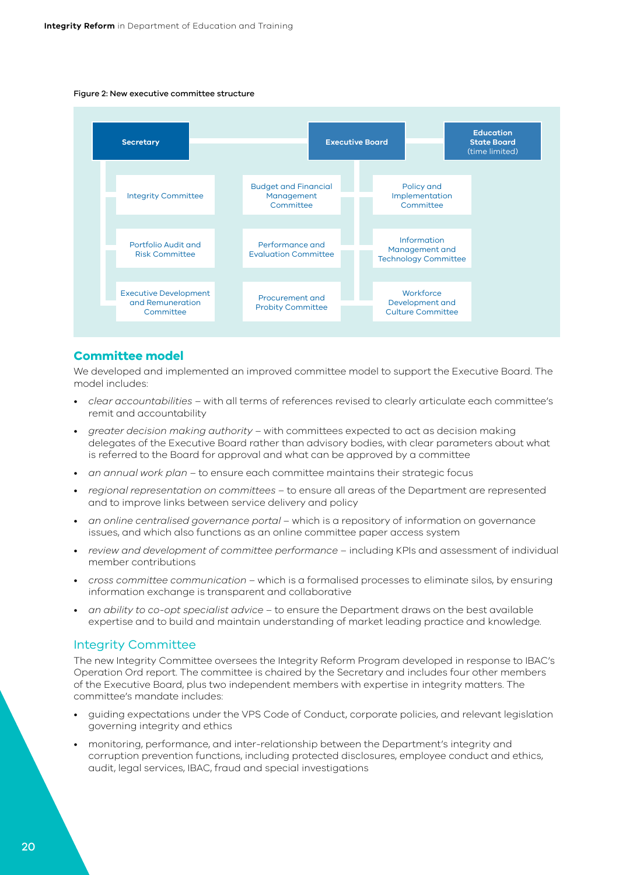#### <span id="page-19-0"></span>Figure 2: New executive committee structure



## **Committee model**

We developed and implemented an improved committee model to support the Executive Board. The model includes:

- *clear accountabilities* with all terms of references revised to clearly articulate each committee's remit and accountability
- *greater decision making authority* with committees expected to act as decision making delegates of the Executive Board rather than advisory bodies, with clear parameters about what is referred to the Board for approval and what can be approved by a committee
- *an annual work plan* to ensure each committee maintains their strategic focus
- *regional representation on committees* to ensure all areas of the Department are represented and to improve links between service delivery and policy
- *an online centralised governance portal* which is a repository of information on governance issues, and which also functions as an online committee paper access system
- *review and development of committee performance* including KPIs and assessment of individual member contributions
- *cross committee communication* which is a formalised processes to eliminate silos, by ensuring information exchange is transparent and collaborative
- *an ability to co-opt specialist advice* to ensure the Department draws on the best available expertise and to build and maintain understanding of market leading practice and knowledge.

#### Integrity Committee

The new Integrity Committee oversees the Integrity Reform Program developed in response to IBAC's Operation Ord report. The committee is chaired by the Secretary and includes four other members of the Executive Board, plus two independent members with expertise in integrity matters. The committee's mandate includes:

- guiding expectations under the VPS Code of Conduct, corporate policies, and relevant legislation governing integrity and ethics
- monitoring, performance, and inter-relationship between the Department's integrity and corruption prevention functions, including protected disclosures, employee conduct and ethics, audit, legal services, IBAC, fraud and special investigations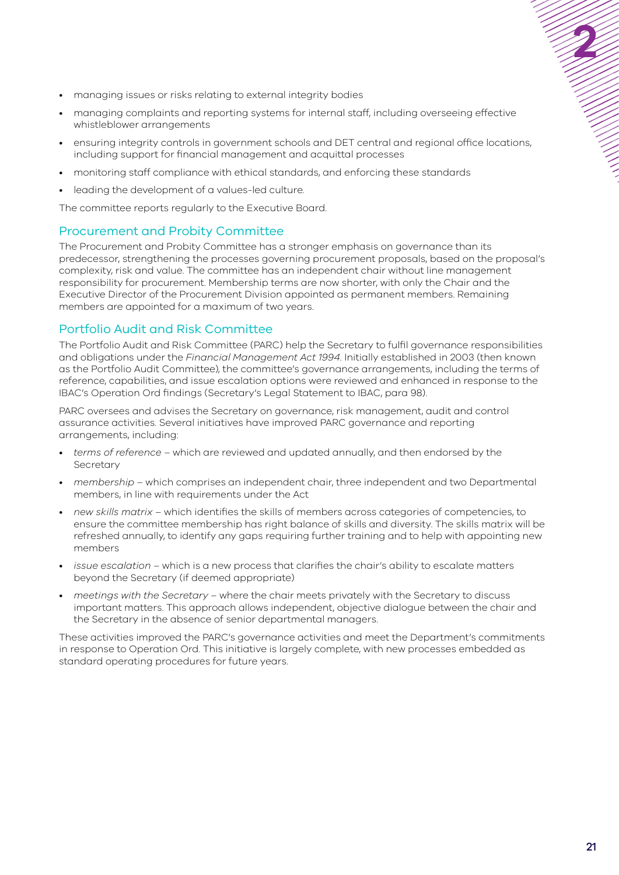- <span id="page-20-0"></span>• managing issues or risks relating to external integrity bodies
- managing complaints and reporting systems for internal staff, including overseeing effective whistleblower arrangements
- ensuring integrity controls in government schools and DET central and regional office locations, including support for financial management and acquittal processes
- monitoring staff compliance with ethical standards, and enforcing these standards
- leading the development of a values-led culture.

The committee reports regularly to the Executive Board.

## Procurement and Probity Committee

The Procurement and Probity Committee has a stronger emphasis on governance than its predecessor, strengthening the processes governing procurement proposals, based on the proposal's complexity, risk and value. The committee has an independent chair without line management responsibility for procurement. Membership terms are now shorter, with only the Chair and the Executive Director of the Procurement Division appointed as permanent members. Remaining members are appointed for a maximum of two years.

## Portfolio Audit and Risk Committee

The Portfolio Audit and Risk Committee (PARC) help the Secretary to fulfil governance responsibilities and obligations under the *Financial Management Act 1994*. Initially established in 2003 (then known as the Portfolio Audit Committee), the committee's governance arrangements, including the terms of reference, capabilities, and issue escalation options were reviewed and enhanced in response to the IBAC's Operation Ord findings (Secretary's Legal Statement to IBAC, para 98).

PARC oversees and advises the Secretary on governance, risk management, audit and control assurance activities. Several initiatives have improved PARC governance and reporting arrangements, including:

- *terms of reference* which are reviewed and updated annually, and then endorsed by the Secretary
- *membership* which comprises an independent chair, three independent and two Departmental members, in line with requirements under the Act
- *new skills matrix* which identifies the skills of members across categories of competencies, to ensure the committee membership has right balance of skills and diversity. The skills matrix will be refreshed annually, to identify any gaps requiring further training and to help with appointing new members
- *issue escalation*  which is a new process that clarifies the chair's ability to escalate matters beyond the Secretary (if deemed appropriate)
- *meetings with the Secretary* where the chair meets privately with the Secretary to discuss important matters. This approach allows independent, objective dialogue between the chair and the Secretary in the absence of senior departmental managers.

These activities improved the PARC's governance activities and meet the Department's commitments in response to Operation Ord. This initiative is largely complete, with new processes embedded as standard operating procedures for future years.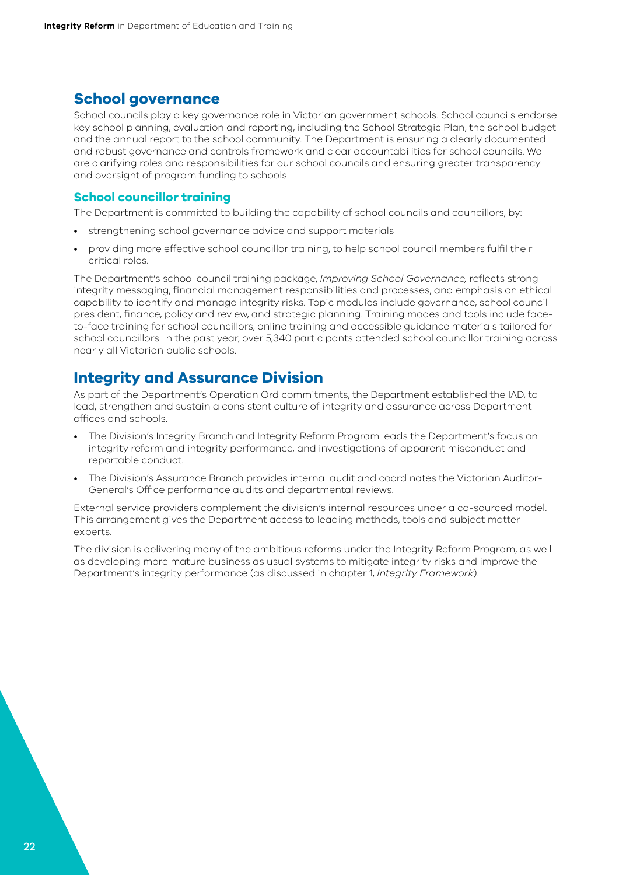## <span id="page-21-0"></span>**School governance**

School councils play a key governance role in Victorian government schools. School councils endorse key school planning, evaluation and reporting, including the School Strategic Plan, the school budget and the annual report to the school community. The Department is ensuring a clearly documented and robust governance and controls framework and clear accountabilities for school councils. We are clarifying roles and responsibilities for our school councils and ensuring greater transparency and oversight of program funding to schools.

## **School councillor training**

The Department is committed to building the capability of school councils and councillors, by:

- strengthening school governance advice and support materials
- providing more effective school councillor training, to help school council members fulfil their critical roles.

The Department's school council training package, *Improving School Governance,* reflects strong integrity messaging, financial management responsibilities and processes, and emphasis on ethical capability to identify and manage integrity risks. Topic modules include governance, school council president, finance, policy and review, and strategic planning. Training modes and tools include faceto-face training for school councillors, online training and accessible guidance materials tailored for school councillors. In the past year, over 5,340 participants attended school councillor training across nearly all Victorian public schools.

## **Integrity and Assurance Division**

As part of the Department's Operation Ord commitments, the Department established the IAD, to lead, strengthen and sustain a consistent culture of integrity and assurance across Department offices and schools.

- The Division's Integrity Branch and Integrity Reform Program leads the Department's focus on integrity reform and integrity performance, and investigations of apparent misconduct and reportable conduct.
- The Division's Assurance Branch provides internal audit and coordinates the Victorian Auditor-General's Office performance audits and departmental reviews.

External service providers complement the division's internal resources under a co-sourced model. This arrangement gives the Department access to leading methods, tools and subject matter experts.

The division is delivering many of the ambitious reforms under the Integrity Reform Program, as well as developing more mature business as usual systems to mitigate integrity risks and improve the Department's integrity performance (as discussed in chapter 1, *Integrity Framework*).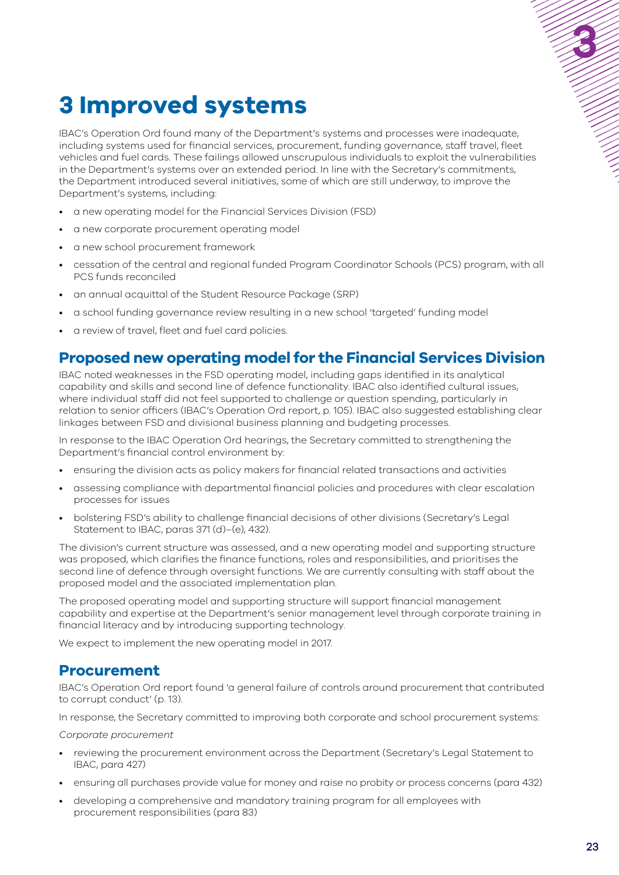# <span id="page-22-0"></span>**3 Improved systems**

IBAC's Operation Ord found many of the Department's systems and processes were inadequate, including systems used for financial services, procurement, funding governance, staff travel, fleet vehicles and fuel cards. These failings allowed unscrupulous individuals to exploit the vulnerabilities in the Department's systems over an extended period. In line with the Secretary's commitments, the Department introduced several initiatives, some of which are still underway, to improve the Department's systems, including:

- a new operating model for the Financial Services Division (FSD)
- a new corporate procurement operating model
- a new school procurement framework
- cessation of the central and regional funded Program Coordinator Schools (PCS) program, with all PCS funds reconciled
- an annual acquittal of the Student Resource Package (SRP)
- a school funding governance review resulting in a new school 'targeted' funding model
- a review of travel, fleet and fuel card policies.

## **Proposed new operating model for the Financial Services Division**

IBAC noted weaknesses in the FSD operating model, including gaps identified in its analytical capability and skills and second line of defence functionality. IBAC also identified cultural issues, where individual staff did not feel supported to challenge or question spending, particularly in relation to senior officers (IBAC's Operation Ord report, p. 105). IBAC also suggested establishing clear linkages between FSD and divisional business planning and budgeting processes.

In response to the IBAC Operation Ord hearings, the Secretary committed to strengthening the Department's financial control environment by:

- ensuring the division acts as policy makers for financial related transactions and activities
- assessing compliance with departmental financial policies and procedures with clear escalation processes for issues
- bolstering FSD's ability to challenge financial decisions of other divisions (Secretary's Legal Statement to IBAC, paras 371 (d)–(e), 432).

The division's current structure was assessed, and a new operating model and supporting structure was proposed, which clarifies the finance functions, roles and responsibilities, and prioritises the second line of defence through oversight functions. We are currently consulting with staff about the proposed model and the associated implementation plan.

The proposed operating model and supporting structure will support financial management capability and expertise at the Department's senior management level through corporate training in financial literacy and by introducing supporting technology.

We expect to implement the new operating model in 2017.

## **Procurement**

IBAC's Operation Ord report found 'a general failure of controls around procurement that contributed to corrupt conduct' (p. 13).

In response, the Secretary committed to improving both corporate and school procurement systems:

*Corporate procurement*

- reviewing the procurement environment across the Department (Secretary's Legal Statement to IBAC, para 427)
- ensuring all purchases provide value for money and raise no probity or process concerns (para 432)
- developing a comprehensive and mandatory training program for all employees with procurement responsibilities (para 83)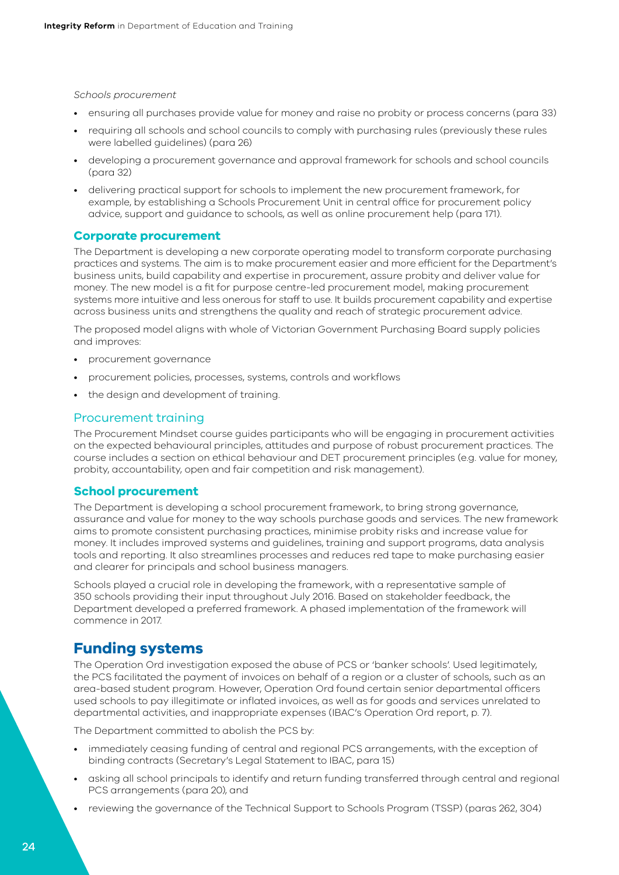#### <span id="page-23-0"></span>*Schools procurement*

- ensuring all purchases provide value for money and raise no probity or process concerns (para 33)
- requiring all schools and school councils to comply with purchasing rules (previously these rules were labelled guidelines) (para 26)
- developing a procurement governance and approval framework for schools and school councils (para 32)
- delivering practical support for schools to implement the new procurement framework, for example, by establishing a Schools Procurement Unit in central office for procurement policy advice, support and guidance to schools, as well as online procurement help (para 171).

## **Corporate procurement**

The Department is developing a new corporate operating model to transform corporate purchasing practices and systems. The aim is to make procurement easier and more efficient for the Department's business units, build capability and expertise in procurement, assure probity and deliver value for money. The new model is a fit for purpose centre-led procurement model, making procurement systems more intuitive and less onerous for staff to use. It builds procurement capability and expertise across business units and strengthens the quality and reach of strategic procurement advice.

The proposed model aligns with whole of Victorian Government Purchasing Board supply policies and improves:

- procurement governance
- procurement policies, processes, systems, controls and workflows
- the design and development of training.

### Procurement training

The Procurement Mindset course guides participants who will be engaging in procurement activities on the expected behavioural principles, attitudes and purpose of robust procurement practices. The course includes a section on ethical behaviour and DET procurement principles (e.g. value for money, probity, accountability, open and fair competition and risk management).

#### **School procurement**

The Department is developing a school procurement framework, to bring strong governance, assurance and value for money to the way schools purchase goods and services. The new framework aims to promote consistent purchasing practices, minimise probity risks and increase value for money. It includes improved systems and guidelines, training and support programs, data analysis tools and reporting. It also streamlines processes and reduces red tape to make purchasing easier and clearer for principals and school business managers.

Schools played a crucial role in developing the framework, with a representative sample of 350 schools providing their input throughout July 2016. Based on stakeholder feedback, the Department developed a preferred framework. A phased implementation of the framework will commence in 2017.

## **Funding systems**

The Operation Ord investigation exposed the abuse of PCS or 'banker schools'. Used legitimately, the PCS facilitated the payment of invoices on behalf of a region or a cluster of schools, such as an area-based student program. However, Operation Ord found certain senior departmental officers used schools to pay illegitimate or inflated invoices, as well as for goods and services unrelated to departmental activities, and inappropriate expenses (IBAC's Operation Ord report, p. 7).

The Department committed to abolish the PCS by:

- immediately ceasing funding of central and regional PCS arrangements, with the exception of binding contracts (Secretary's Legal Statement to IBAC, para 15)
- asking all school principals to identify and return funding transferred through central and regional PCS arrangements (para 20), and
- reviewing the governance of the Technical Support to Schools Program (TSSP) (paras 262, 304)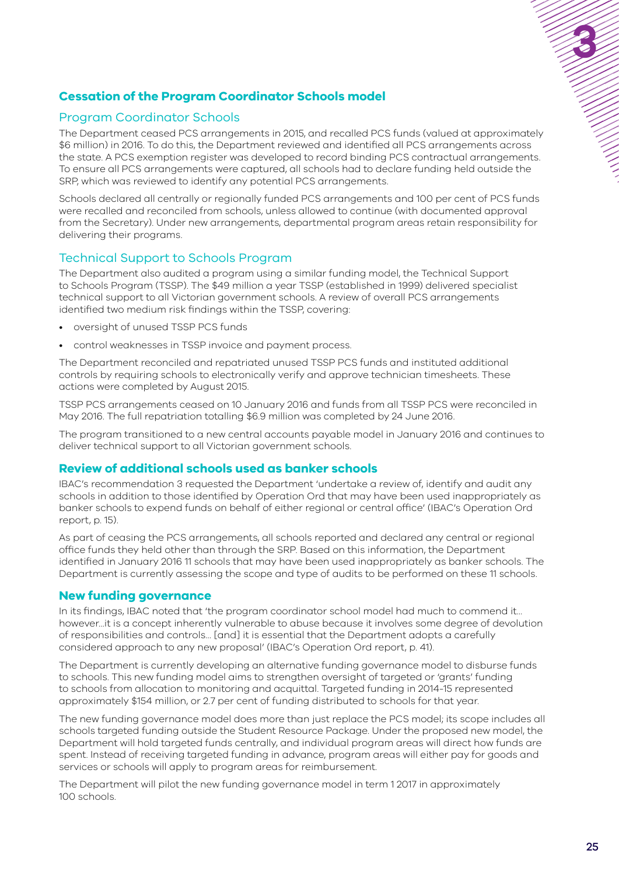## <span id="page-24-0"></span>**Cessation of the Program Coordinator Schools model**

## Program Coordinator Schools

The Department ceased PCS arrangements in 2015, and recalled PCS funds (valued at approximately \$6 million) in 2016. To do this, the Department reviewed and identified all PCS arrangements across the state. A PCS exemption register was developed to record binding PCS contractual arrangements. To ensure all PCS arrangements were captured, all schools had to declare funding held outside the SRP, which was reviewed to identify any potential PCS arrangements.

Schools declared all centrally or regionally funded PCS arrangements and 100 per cent of PCS funds were recalled and reconciled from schools, unless allowed to continue (with documented approval from the Secretary). Under new arrangements, departmental program areas retain responsibility for delivering their programs.

## Technical Support to Schools Program

The Department also audited a program using a similar funding model, the Technical Support to Schools Program (TSSP). The \$49 million a year TSSP (established in 1999) delivered specialist technical support to all Victorian government schools. A review of overall PCS arrangements identified two medium risk findings within the TSSP, covering:

- oversight of unused TSSP PCS funds
- control weaknesses in TSSP invoice and payment process.

The Department reconciled and repatriated unused TSSP PCS funds and instituted additional controls by requiring schools to electronically verify and approve technician timesheets. These actions were completed by August 2015.

TSSP PCS arrangements ceased on 10 January 2016 and funds from all TSSP PCS were reconciled in May 2016. The full repatriation totalling \$6.9 million was completed by 24 June 2016.

The program transitioned to a new central accounts payable model in January 2016 and continues to deliver technical support to all Victorian government schools.

## **Review of additional schools used as banker schools**

IBAC's recommendation 3 requested the Department 'undertake a review of, identify and audit any schools in addition to those identified by Operation Ord that may have been used inappropriately as banker schools to expend funds on behalf of either regional or central office' (IBAC's Operation Ord report, p. 15).

As part of ceasing the PCS arrangements, all schools reported and declared any central or regional office funds they held other than through the SRP. Based on this information, the Department identified in January 2016 11 schools that may have been used inappropriately as banker schools. The Department is currently assessing the scope and type of audits to be performed on these 11 schools.

## **New funding governance**

In its findings, IBAC noted that 'the program coordinator school model had much to commend it… however…it is a concept inherently vulnerable to abuse because it involves some degree of devolution of responsibilities and controls… [and] it is essential that the Department adopts a carefully considered approach to any new proposal' (IBAC's Operation Ord report, p. 41).

The Department is currently developing an alternative funding governance model to disburse funds to schools. This new funding model aims to strengthen oversight of targeted or 'grants' funding to schools from allocation to monitoring and acquittal. Targeted funding in 2014-15 represented approximately \$154 million, or 2.7 per cent of funding distributed to schools for that year.

The new funding governance model does more than just replace the PCS model; its scope includes all schools targeted funding outside the Student Resource Package. Under the proposed new model, the Department will hold targeted funds centrally, and individual program areas will direct how funds are spent. Instead of receiving targeted funding in advance, program areas will either pay for goods and services or schools will apply to program areas for reimbursement.

The Department will pilot the new funding governance model in term 1 2017 in approximately 100 schools.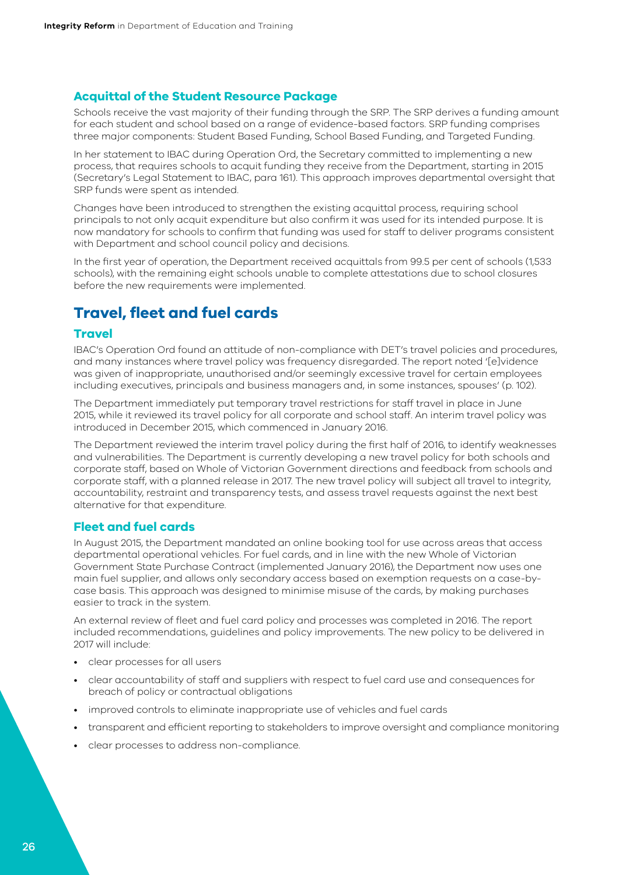#### <span id="page-25-0"></span>**Acquittal of the Student Resource Package**

Schools receive the vast majority of their funding through the SRP. The SRP derives a funding amount for each student and school based on a range of evidence-based factors. SRP funding comprises three major components: Student Based Funding, School Based Funding, and Targeted Funding.

In her statement to IBAC during Operation Ord, the Secretary committed to implementing a new process, that requires schools to acquit funding they receive from the Department, starting in 2015 (Secretary's Legal Statement to IBAC, para 161). This approach improves departmental oversight that SRP funds were spent as intended.

Changes have been introduced to strengthen the existing acquittal process, requiring school principals to not only acquit expenditure but also confirm it was used for its intended purpose. It is now mandatory for schools to confirm that funding was used for staff to deliver programs consistent with Department and school council policy and decisions.

In the first year of operation, the Department received acquittals from 99.5 per cent of schools (1,533 schools), with the remaining eight schools unable to complete attestations due to school closures before the new requirements were implemented.

## **Travel, fleet and fuel cards**

#### **Travel**

IBAC's Operation Ord found an attitude of non-compliance with DET's travel policies and procedures, and many instances where travel policy was frequency disregarded. The report noted '[e]vidence was given of inappropriate, unauthorised and/or seemingly excessive travel for certain employees including executives, principals and business managers and, in some instances, spouses' (p. 102).

The Department immediately put temporary travel restrictions for staff travel in place in June 2015, while it reviewed its travel policy for all corporate and school staff. An interim travel policy was introduced in December 2015, which commenced in January 2016.

The Department reviewed the interim travel policy during the first half of 2016, to identify weaknesses and vulnerabilities. The Department is currently developing a new travel policy for both schools and corporate staff, based on Whole of Victorian Government directions and feedback from schools and corporate staff, with a planned release in 2017. The new travel policy will subject all travel to integrity, accountability, restraint and transparency tests, and assess travel requests against the next best alternative for that expenditure.

## **Fleet and fuel cards**

In August 2015, the Department mandated an online booking tool for use across areas that access departmental operational vehicles. For fuel cards, and in line with the new Whole of Victorian Government State Purchase Contract (implemented January 2016), the Department now uses one main fuel supplier, and allows only secondary access based on exemption requests on a case-bycase basis. This approach was designed to minimise misuse of the cards, by making purchases easier to track in the system.

An external review of fleet and fuel card policy and processes was completed in 2016. The report included recommendations, guidelines and policy improvements. The new policy to be delivered in 2017 will include:

- clear processes for all users
- clear accountability of staff and suppliers with respect to fuel card use and consequences for breach of policy or contractual obligations
- improved controls to eliminate inappropriate use of vehicles and fuel cards
- transparent and efficient reporting to stakeholders to improve oversight and compliance monitoring
- clear processes to address non-compliance.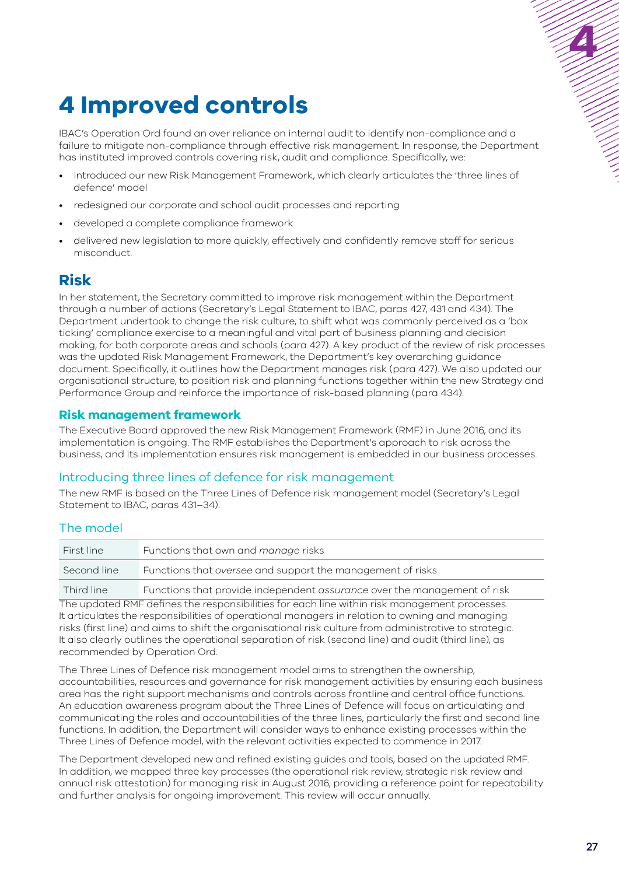## <span id="page-26-0"></span>**4 Improved controls**

IBAC's Operation Ord found an over reliance on internal audit to identify non-compliance and a failure to mitigate non-compliance through effective risk management. In response, the Department has instituted improved controls covering risk, audit and compliance. Specifically, we:

- introduced our new Risk Management Framework, which clearly articulates the 'three lines of defence' model
- redesigned our corporate and school audit processes and reporting
- developed a complete compliance framework
- delivered new legislation to more quickly, effectively and confidently remove staff for serious misconduct.

## **Risk**

In her statement, the Secretary committed to improve risk management within the Department through a number of actions (Secretary's Legal Statement to IBAC, paras 427, 431 and 434). The Department undertook to change the risk culture, to shift what was commonly perceived as a 'box ticking' compliance exercise to a meaningful and vital part of business planning and decision making, for both corporate areas and schools (para 427). A key product of the review of risk processes was the updated Risk Management Framework, the Department's key overarching guidance document. Specifically, it outlines how the Department manages risk (para 427). We also updated our organisational structure, to position risk and planning functions together within the new Strategy and Performance Group and reinforce the importance of risk-based planning (para 434).

### **Risk management framework**

The Executive Board approved the new Risk Management Framework (RMF) in June 2016, and its implementation is ongoing. The RMF establishes the Department's approach to risk across the business, and its implementation ensures risk management is embedded in our business processes.

## Introducing three lines of defence for risk management

The new RMF is based on the Three Lines of Defence risk management model (Secretary's Legal Statement to IBAC, paras 431–34).

## The model

| First line  | Functions that own and manage risks                                      |
|-------------|--------------------------------------------------------------------------|
| Second line | Functions that oversee and support the management of risks               |
| Third line  | Functions that provide independent assurance over the management of risk |

The updated RMF defines the responsibilities for each line within risk management processes. It articulates the responsibilities of operational managers in relation to owning and managing risks (first line) and aims to shift the organisational risk culture from administrative to strategic. It also clearly outlines the operational separation of risk (second line) and audit (third line), as recommended by Operation Ord.

The Three Lines of Defence risk management model aims to strengthen the ownership, accountabilities, resources and governance for risk management activities by ensuring each business area has the right support mechanisms and controls across frontline and central office functions. An education awareness program about the Three Lines of Defence will focus on articulating and communicating the roles and accountabilities of the three lines, particularly the first and second line functions. In addition, the Department will consider ways to enhance existing processes within the Three Lines of Defence model, with the relevant activities expected to commence in 2017.

The Department developed new and refined existing guides and tools, based on the updated RMF. In addition, we mapped three key processes (the operational risk review, strategic risk review and annual risk attestation) for managing risk in August 2016, providing a reference point for repeatability and further analysis for ongoing improvement. This review will occur annually.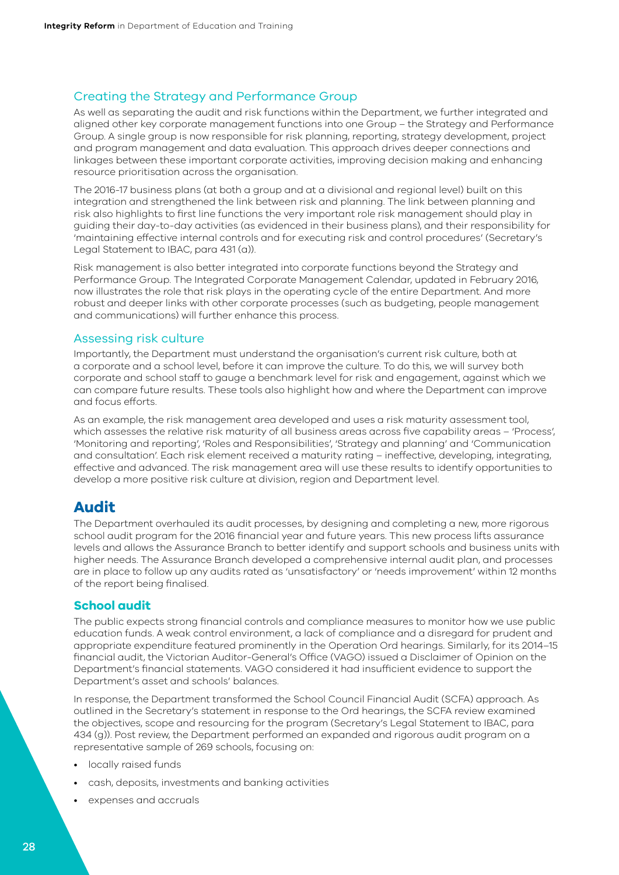## <span id="page-27-0"></span>Creating the Strategy and Performance Group

As well as separating the audit and risk functions within the Department, we further integrated and aligned other key corporate management functions into one Group – the Strategy and Performance Group. A single group is now responsible for risk planning, reporting, strategy development, project and program management and data evaluation. This approach drives deeper connections and linkages between these important corporate activities, improving decision making and enhancing resource prioritisation across the organisation.

The 2016-17 business plans (at both a group and at a divisional and regional level) built on this integration and strengthened the link between risk and planning. The link between planning and risk also highlights to first line functions the very important role risk management should play in guiding their day-to-day activities (as evidenced in their business plans), and their responsibility for 'maintaining effective internal controls and for executing risk and control procedures' (Secretary's Legal Statement to IBAC, para 431 (a)).

Risk management is also better integrated into corporate functions beyond the Strategy and Performance Group. The Integrated Corporate Management Calendar, updated in February 2016, now illustrates the role that risk plays in the operating cycle of the entire Department. And more robust and deeper links with other corporate processes (such as budgeting, people management and communications) will further enhance this process.

### Assessing risk culture

Importantly, the Department must understand the organisation's current risk culture, both at a corporate and a school level, before it can improve the culture. To do this, we will survey both corporate and school staff to gauge a benchmark level for risk and engagement, against which we can compare future results. These tools also highlight how and where the Department can improve and focus efforts.

As an example, the risk management area developed and uses a risk maturity assessment tool, which assesses the relative risk maturity of all business areas across five capability areas – 'Process', 'Monitoring and reporting', 'Roles and Responsibilities', 'Strategy and planning' and 'Communication and consultation'. Each risk element received a maturity rating – ineffective, developing, integrating, effective and advanced. The risk management area will use these results to identify opportunities to develop a more positive risk culture at division, region and Department level.

## **Audit**

The Department overhauled its audit processes, by designing and completing a new, more rigorous school audit program for the 2016 financial year and future years. This new process lifts assurance levels and allows the Assurance Branch to better identify and support schools and business units with higher needs. The Assurance Branch developed a comprehensive internal audit plan, and processes are in place to follow up any audits rated as 'unsatisfactory' or 'needs improvement' within 12 months of the report being finalised.

#### **School audit**

The public expects strong financial controls and compliance measures to monitor how we use public education funds. A weak control environment, a lack of compliance and a disregard for prudent and appropriate expenditure featured prominently in the Operation Ord hearings. Similarly, for its 2014–15 financial audit, the Victorian Auditor-General's Office (VAGO) issued a Disclaimer of Opinion on the Department's financial statements. VAGO considered it had insufficient evidence to support the Department's asset and schools' balances.

In response, the Department transformed the School Council Financial Audit (SCFA) approach. As outlined in the Secretary's statement in response to the Ord hearings, the SCFA review examined the objectives, scope and resourcing for the program (Secretary's Legal Statement to IBAC, para 434 (g)). Post review, the Department performed an expanded and rigorous audit program on a representative sample of 269 schools, focusing on:

- locally raised funds
- cash, deposits, investments and banking activities
- expenses and accruals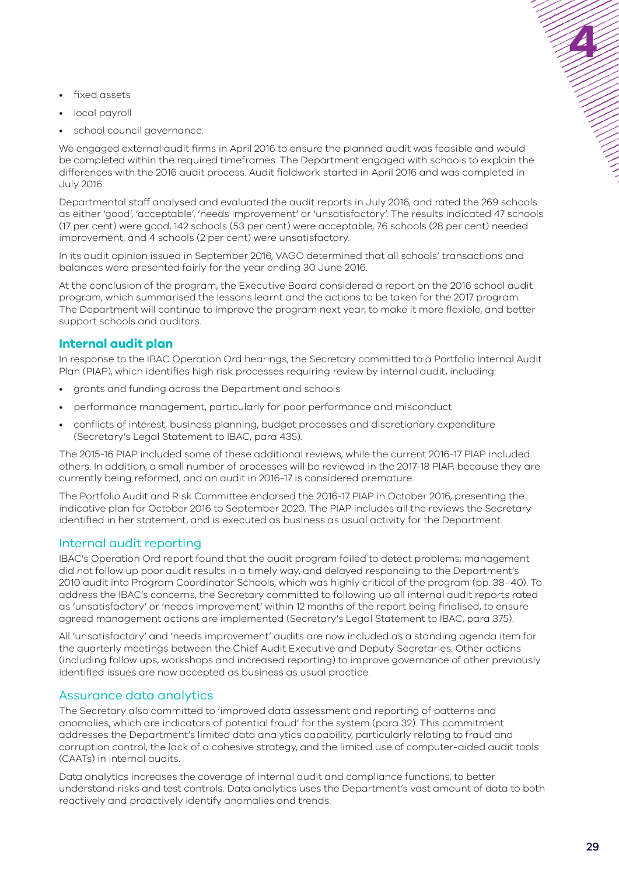- <span id="page-28-0"></span>• fixed assets
- local payroll
- school council governance.

We engaged external audit firms in April 2016 to ensure the planned audit was feasible and would be completed within the required timeframes. The Department engaged with schools to explain the differences with the 2016 audit process. Audit fieldwork started in April 2016 and was completed in July 2016.

Departmental staff analysed and evaluated the audit reports in July 2016, and rated the 269 schools as either 'good', 'acceptable', 'needs improvement' or 'unsatisfactory'. The results indicated 47 schools (17 per cent) were good, 142 schools (53 per cent) were acceptable, 76 schools (28 per cent) needed improvement, and 4 schools (2 per cent) were unsatisfactory.

In its audit opinion issued in September 2016, VAGO determined that all schools' transactions and balances were presented fairly for the year ending 30 June 2016.

At the conclusion of the program, the Executive Board considered a report on the 2016 school audit program, which summarised the lessons learnt and the actions to be taken for the 2017 program. The Department will continue to improve the program next year, to make it more flexible, and better support schools and auditors.

## **Internal audit plan**

In response to the IBAC Operation Ord hearings, the Secretary committed to a Portfolio Internal Audit Plan (PIAP), which identifies high risk processes requiring review by internal audit, including:

- grants and funding across the Department and schools
- performance management, particularly for poor performance and misconduct
- conflicts of interest, business planning, budget processes and discretionary expenditure (Secretary's Legal Statement to IBAC, para 435)*.*

The 2015-16 PIAP included some of these additional reviews, while the current 2016-17 PIAP included others. In addition, a small number of processes will be reviewed in the 2017-18 PIAP, because they are currently being reformed, and an audit in 2016-17 is considered premature.

The Portfolio Audit and Risk Committee endorsed the 2016-17 PIAP in October 2016, presenting the indicative plan for October 2016 to September 2020. The PIAP includes all the reviews the Secretary identified in her statement, and is executed as business as usual activity for the Department.

## Internal audit reporting

IBAC's Operation Ord report found that the audit program failed to detect problems; management did not follow up poor audit results in a timely way, and delayed responding to the Department's 2010 audit into Program Coordinator Schools, which was highly critical of the program (pp. 38–40). To address the IBAC's concerns, the Secretary committed to following up all internal audit reports rated as 'unsatisfactory' or 'needs improvement' within 12 months of the report being finalised, to ensure agreed management actions are implemented (Secretary's Legal Statement to IBAC, para 375).

All 'unsatisfactory' and 'needs improvement' audits are now included as a standing agenda item for the quarterly meetings between the Chief Audit Executive and Deputy Secretaries. Other actions (including follow ups, workshops and increased reporting) to improve governance of other previously identified issues are now accepted as business as usual practice.

## Assurance data analytics

The Secretary also committed to 'improved data assessment and reporting of patterns and anomalies, which are indicators of potential fraud' for the system (para 32). This commitment addresses the Department's limited data analytics capability, particularly relating to fraud and corruption control, the lack of a cohesive strategy, and the limited use of computer-aided audit tools (CAATs) in internal audits.

Data analytics increases the coverage of internal audit and compliance functions, to better understand risks and test controls. Data analytics uses the Department's vast amount of data to both reactively and proactively identify anomalies and trends.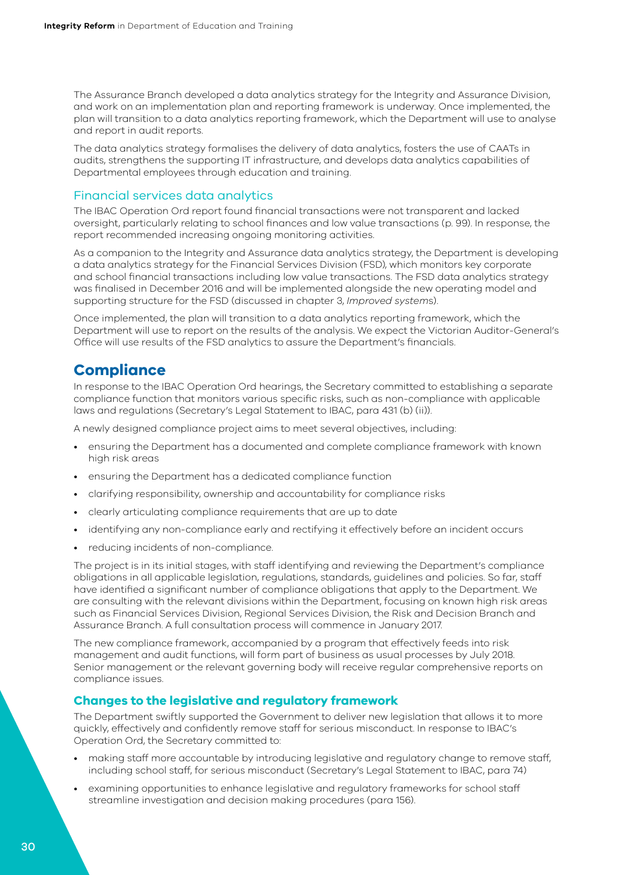<span id="page-29-0"></span>The Assurance Branch developed a data analytics strategy for the Integrity and Assurance Division, and work on an implementation plan and reporting framework is underway. Once implemented, the plan will transition to a data analytics reporting framework, which the Department will use to analyse and report in audit reports.

The data analytics strategy formalises the delivery of data analytics, fosters the use of CAATs in audits, strengthens the supporting IT infrastructure, and develops data analytics capabilities of Departmental employees through education and training.

### Financial services data analytics

The IBAC Operation Ord report found financial transactions were not transparent and lacked oversight, particularly relating to school finances and low value transactions (p. 99). In response, the report recommended increasing ongoing monitoring activities.

As a companion to the Integrity and Assurance data analytics strategy, the Department is developing a data analytics strategy for the Financial Services Division (FSD), which monitors key corporate and school financial transactions including low value transactions. The FSD data analytics strategy was finalised in December 2016 and will be implemented alongside the new operating model and supporting structure for the FSD (discussed in chapter 3, *Improved system*s).

Once implemented, the plan will transition to a data analytics reporting framework, which the Department will use to report on the results of the analysis. We expect the Victorian Auditor-General's Office will use results of the FSD analytics to assure the Department's financials.

## **Compliance**

In response to the IBAC Operation Ord hearings, the Secretary committed to establishing a separate compliance function that monitors various specific risks, such as non-compliance with applicable laws and regulations (Secretary's Legal Statement to IBAC, para 431 (b) (ii)).

A newly designed compliance project aims to meet several objectives, including:

- ensuring the Department has a documented and complete compliance framework with known high risk areas
- ensuring the Department has a dedicated compliance function
- clarifying responsibility, ownership and accountability for compliance risks
- clearly articulating compliance requirements that are up to date
- identifying any non-compliance early and rectifying it effectively before an incident occurs
- reducing incidents of non-compliance.

The project is in its initial stages, with staff identifying and reviewing the Department's compliance obligations in all applicable legislation, regulations, standards, guidelines and policies. So far, staff have identified a significant number of compliance obligations that apply to the Department. We are consulting with the relevant divisions within the Department, focusing on known high risk areas such as Financial Services Division, Regional Services Division, the Risk and Decision Branch and Assurance Branch. A full consultation process will commence in January 2017.

The new compliance framework, accompanied by a program that effectively feeds into risk management and audit functions, will form part of business as usual processes by July 2018. Senior management or the relevant governing body will receive regular comprehensive reports on compliance issues.

## **Changes to the legislative and regulatory framework**

The Department swiftly supported the Government to deliver new legislation that allows it to more quickly, effectively and confidently remove staff for serious misconduct. In response to IBAC's Operation Ord, the Secretary committed to:

- making staff more accountable by introducing legislative and regulatory change to remove staff, including school staff, for serious misconduct (Secretary's Legal Statement to IBAC, para 74)
- examining opportunities to enhance legislative and regulatory frameworks for school staff streamline investigation and decision making procedures (para 156).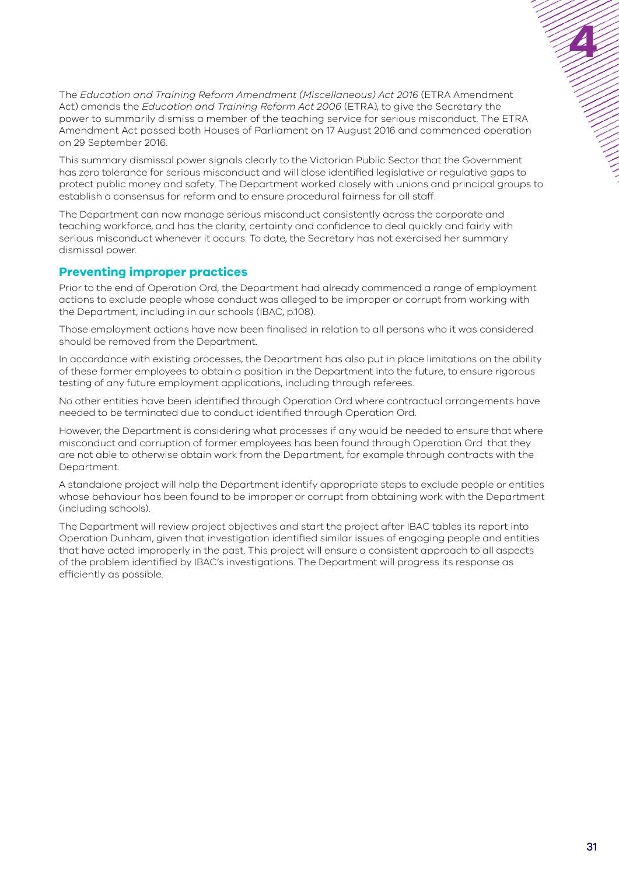<span id="page-30-0"></span>The *Education and Training Reform Amendment (Miscellaneous) Act 2016* (ETRA Amendment Act) amends the *Education and Training Reform Act 2006* (ETRA), to give the Secretary the power to summarily dismiss a member of the teaching service for serious misconduct. The ETRA Amendment Act passed both Houses of Parliament on 17 August 2016 and commenced operation on 29 September 2016.

This summary dismissal power signals clearly to the Victorian Public Sector that the Government has zero tolerance for serious misconduct and will close identified legislative or regulative gaps to protect public money and safety. The Department worked closely with unions and principal groups to establish a consensus for reform and to ensure procedural fairness for all staff.

The Department can now manage serious misconduct consistently across the corporate and teaching workforce, and has the clarity, certainty and confidence to deal quickly and fairly with serious misconduct whenever it occurs. To date, the Secretary has not exercised her summary dismissal power.

## **Preventing improper practices**

Prior to the end of Operation Ord, the Department had already commenced a range of employment actions to exclude people whose conduct was alleged to be improper or corrupt from working with the Department, including in our schools (IBAC, p.108).

Those employment actions have now been finalised in relation to all persons who it was considered should be removed from the Department.

In accordance with existing processes, the Department has also put in place limitations on the ability of these former employees to obtain a position in the Department into the future, to ensure rigorous testing of any future employment applications, including through referees.

No other entities have been identified through Operation Ord where contractual arrangements have needed to be terminated due to conduct identified through Operation Ord.

However, the Department is considering what processes if any would be needed to ensure that where misconduct and corruption of former employees has been found through Operation Ord that they are not able to otherwise obtain work from the Department, for example through contracts with the Department.

A standalone project will help the Department identify appropriate steps to exclude people or entities whose behaviour has been found to be improper or corrupt from obtaining work with the Department (including schools).

The Department will review project objectives and start the project after IBAC tables its report into Operation Dunham, given that investigation identified similar issues of engaging people and entities that have acted improperly in the past. This project will ensure a consistent approach to all aspects of the problem identified by IBAC's investigations. The Department will progress its response as efficiently as possible.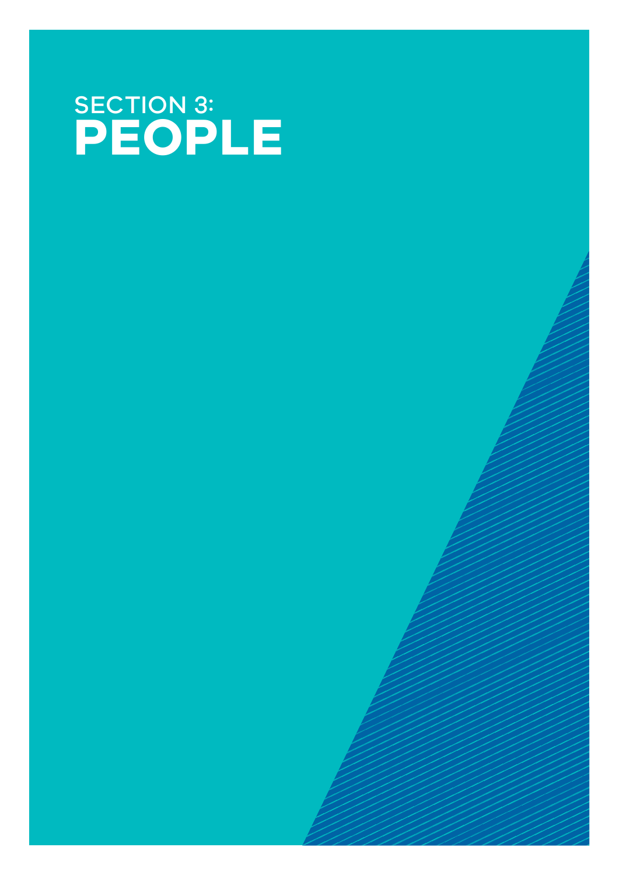# SECTION 3: **PEOPLE**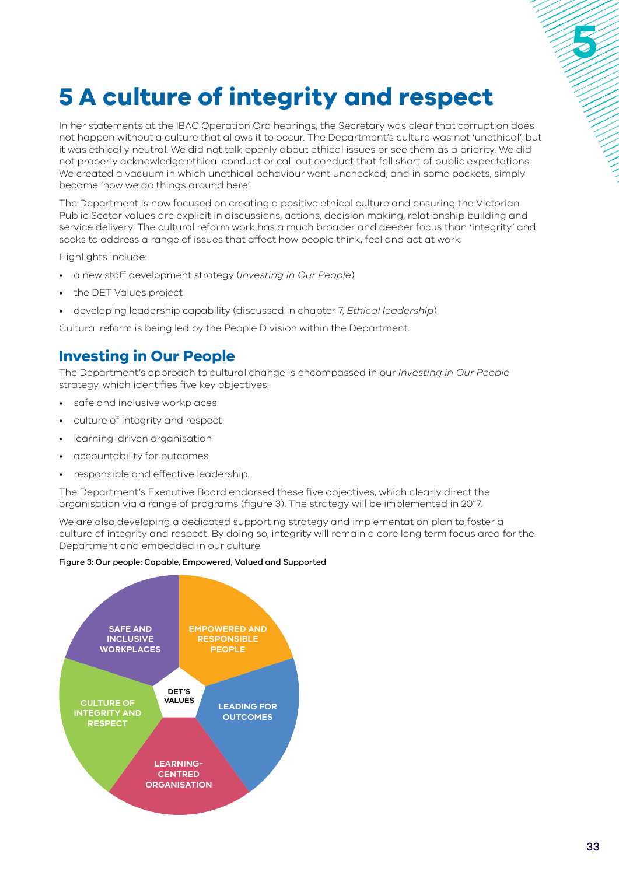# <span id="page-32-0"></span>**5 A culture of integrity and respect**

In her statements at the IBAC Operation Ord hearings, the Secretary was clear that corruption does not happen without a culture that allows it to occur. The Department's culture was not 'unethical', but it was ethically neutral. We did not talk openly about ethical issues or see them as a priority. We did not properly acknowledge ethical conduct or call out conduct that fell short of public expectations. We created a vacuum in which unethical behaviour went unchecked, and in some pockets, simply became 'how we do things around here'.

The Department is now focused on creating a positive ethical culture and ensuring the Victorian Public Sector values are explicit in discussions, actions, decision making, relationship building and service delivery. The cultural reform work has a much broader and deeper focus than 'integrity' and seeks to address a range of issues that affect how people think, feel and act at work.

Highlights include:

- a new staff development strategy (*Investing in Our People*)
- the DET Values project
- developing leadership capability (discussed in chapter 7, *Ethical leadership*).

Cultural reform is being led by the People Division within the Department.

## **Investing in Our People**

The Department's approach to cultural change is encompassed in our *Investing in Our People* strategy, which identifies five key objectives:

- safe and inclusive workplaces
- culture of integrity and respect
- learning-driven organisation
- accountability for outcomes
- responsible and effective leadership.

The Department's Executive Board endorsed these five objectives, which clearly direct the organisation via a range of programs (figure 3). The strategy will be implemented in 2017.

We are also developing a dedicated supporting strategy and implementation plan to foster a culture of integrity and respect. By doing so, integrity will remain a core long term focus area for the Department and embedded in our culture.

#### Figure 3: Our people: Capable, Empowered, Valued and Supported

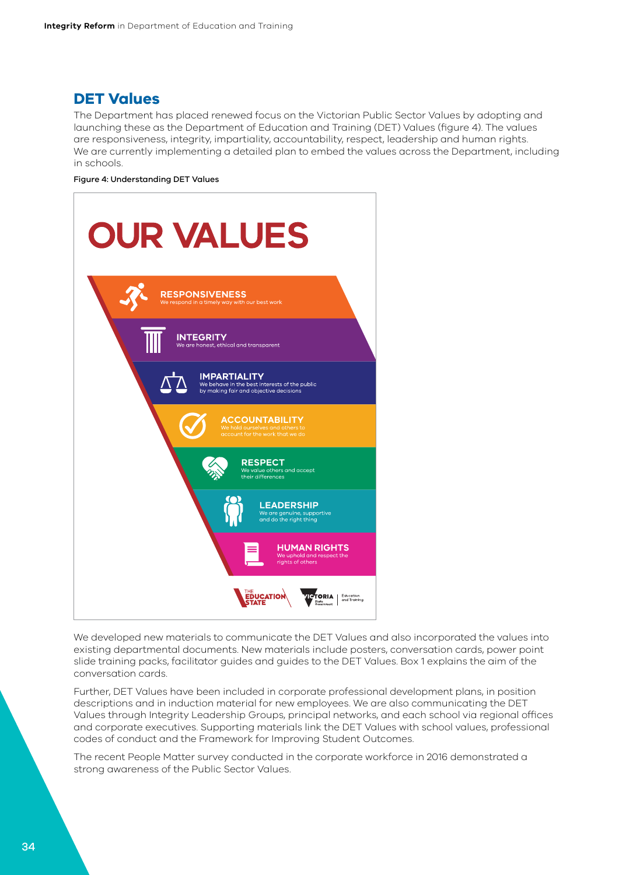## <span id="page-33-0"></span>**DET Values**

The Department has placed renewed focus on the Victorian Public Sector Values by adopting and launching these as the Department of Education and Training (DET) Values (figure 4). The values are responsiveness, integrity, impartiality, accountability, respect, leadership and human rights. We are currently implementing a detailed plan to embed the values across the Department, including in schools.

#### Figure 4: Understanding DET Values



We developed new materials to communicate the DET Values and also incorporated the values into existing departmental documents. New materials include posters, conversation cards, power point slide training packs, facilitator guides and guides to the DET Values. Box 1 explains the aim of the conversation cards.

Further, DET Values have been included in corporate professional development plans, in position descriptions and in induction material for new employees. We are also communicating the DET Values through Integrity Leadership Groups, principal networks, and each school via regional offices and corporate executives. Supporting materials link the DET Values with school values, professional codes of conduct and the Framework for Improving Student Outcomes.

The recent People Matter survey conducted in the corporate workforce in 2016 demonstrated a strong awareness of the Public Sector Values.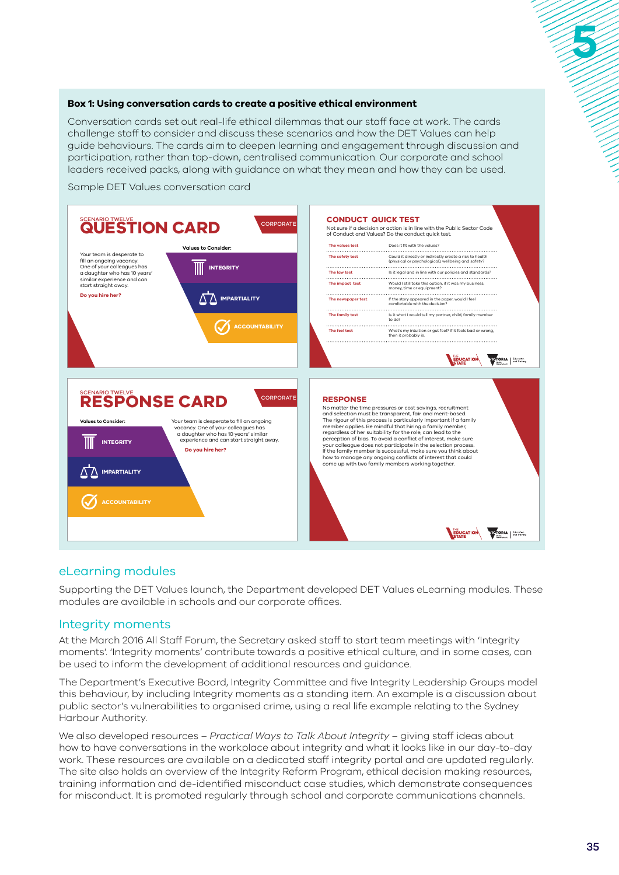#### <span id="page-34-0"></span>**Box 1: Using conversation cards to create a positive ethical environment**

Conversation cards set out real-life ethical dilemmas that our staff face at work. The cards challenge staff to consider and discuss these scenarios and how the DET Values can help guide behaviours. The cards aim to deepen learning and engagement through discussion and participation, rather than top-down, centralised communication. Our corporate and school leaders received packs, along with guidance on what they mean and how they can be used.

Sample DET Values conversation card



#### eLearning modules

Supporting the DET Values launch, the Department developed DET Values eLearning modules. These modules are available in schools and our corporate offices.

#### Integrity moments

At the March 2016 All Staff Forum, the Secretary asked staff to start team meetings with 'Integrity moments'. 'Integrity moments' contribute towards a positive ethical culture, and in some cases, can be used to inform the development of additional resources and guidance.

The Department's Executive Board, Integrity Committee and five Integrity Leadership Groups model this behaviour, by including Integrity moments as a standing item. An example is a discussion about public sector's vulnerabilities to organised crime, using a real life example relating to the Sydney Harbour Authority.

We also developed resources – *Practical Ways to Talk About Integrity* – giving staff ideas about how to have conversations in the workplace about integrity and what it looks like in our day-to-day work. These resources are available on a dedicated staff integrity portal and are updated regularly. The site also holds an overview of the Integrity Reform Program, ethical decision making resources, training information and de-identified misconduct case studies, which demonstrate consequences for misconduct. It is promoted regularly through school and corporate communications channels.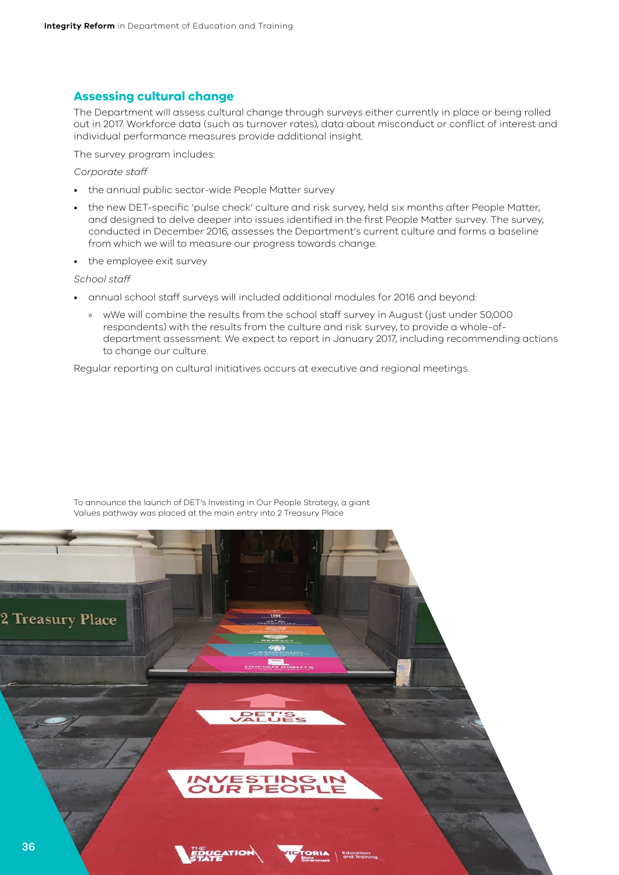### <span id="page-35-0"></span>**Assessing cultural change**

The Department will assess cultural change through surveys either currently in place or being rolled out in 2017. Workforce data (such as turnover rates), data about misconduct or conflict of interest and individual performance measures provide additional insight.

The survey program includes:

*Corporate staff*

- the annual public sector-wide People Matter survey
- the new DET-specific 'pulse check' culture and risk survey, held six months after People Matter, and designed to delve deeper into issues identified in the first People Matter survey. The survey, conducted in December 2016, assesses the Department's current culture and forms a baseline from which we will to measure our progress towards change.
- the employee exit survey

#### *School staff*

- annual school staff surveys will included additional modules for 2016 and beyond:
	- » wWe will combine the results from the school staff survey in August (just under 50,000 respondents) with the results from the culture and risk survey, to provide a whole-ofdepartment assessment. We expect to report in January 2017, including recommending actions to change our culture.

Regular reporting on cultural initiatives occurs at executive and regional meetings.



To announce the launch of DET's Investing in Our People Strategy, a giant Values pathway was placed at the main entry into 2 Treasury Place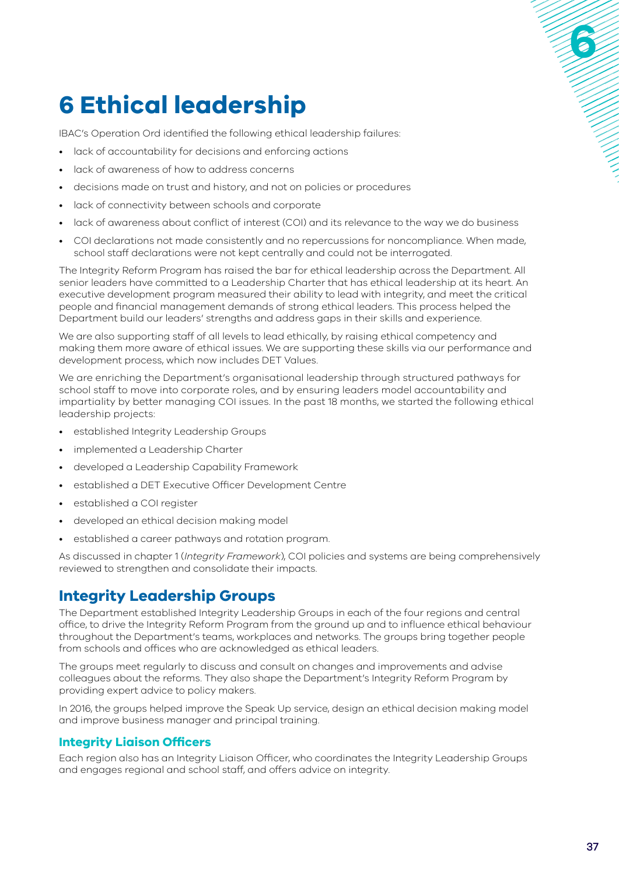# <span id="page-36-0"></span>**6 Ethical leadership**

IBAC's Operation Ord identified the following ethical leadership failures:

- lack of accountability for decisions and enforcing actions
- lack of awareness of how to address concerns
- decisions made on trust and history, and not on policies or procedures
- lack of connectivity between schools and corporate
- lack of awareness about conflict of interest (COI) and its relevance to the way we do business
- COI declarations not made consistently and no repercussions for noncompliance. When made, school staff declarations were not kept centrally and could not be interrogated.

The Integrity Reform Program has raised the bar for ethical leadership across the Department. All senior leaders have committed to a Leadership Charter that has ethical leadership at its heart. An executive development program measured their ability to lead with integrity, and meet the critical people and financial management demands of strong ethical leaders. This process helped the Department build our leaders' strengths and address gaps in their skills and experience.

We are also supporting staff of all levels to lead ethically, by raising ethical competency and making them more aware of ethical issues. We are supporting these skills via our performance and development process, which now includes DET Values.

We are enriching the Department's organisational leadership through structured pathways for school staff to move into corporate roles, and by ensuring leaders model accountability and impartiality by better managing COI issues. In the past 18 months, we started the following ethical leadership projects:

- established Integrity Leadership Groups
- implemented a Leadership Charter
- developed a Leadership Capability Framework
- established a DET Executive Officer Development Centre
- established a COI register
- developed an ethical decision making model
- established a career pathways and rotation program.

As discussed in chapter 1 (*Integrity Framework*), COI policies and systems are being comprehensively reviewed to strengthen and consolidate their impacts.

## **Integrity Leadership Groups**

The Department established Integrity Leadership Groups in each of the four regions and central office, to drive the Integrity Reform Program from the ground up and to influence ethical behaviour throughout the Department's teams, workplaces and networks. The groups bring together people from schools and offices who are acknowledged as ethical leaders.

The groups meet regularly to discuss and consult on changes and improvements and advise colleagues about the reforms. They also shape the Department's Integrity Reform Program by providing expert advice to policy makers.

In 2016, the groups helped improve the Speak Up service, design an ethical decision making model and improve business manager and principal training.

## **Integrity Liaison Officers**

Each region also has an Integrity Liaison Officer, who coordinates the Integrity Leadership Groups and engages regional and school staff, and offers advice on integrity.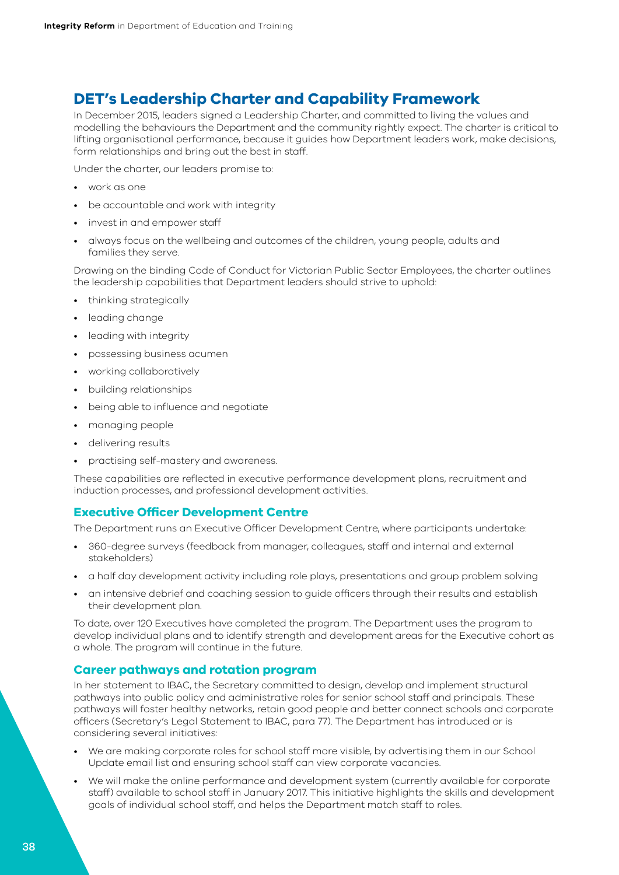## <span id="page-37-0"></span>**DET's Leadership Charter and Capability Framework**

In December 2015, leaders signed a Leadership Charter, and committed to living the values and modelling the behaviours the Department and the community rightly expect. The charter is critical to lifting organisational performance, because it guides how Department leaders work, make decisions, form relationships and bring out the best in staff.

Under the charter, our leaders promise to:

- work as one
- be accountable and work with integrity
- invest in and empower staff
- always focus on the wellbeing and outcomes of the children, young people, adults and families they serve.

Drawing on the binding Code of Conduct for Victorian Public Sector Employees, the charter outlines the leadership capabilities that Department leaders should strive to uphold:

- thinking strategically
- leading change
- leading with integrity
- possessing business acumen
- working collaboratively
- building relationships
- being able to influence and negotiate
- managing people
- delivering results
- practising self-mastery and awareness.

These capabilities are reflected in executive performance development plans, recruitment and induction processes, and professional development activities.

#### **Executive Officer Development Centre**

The Department runs an Executive Officer Development Centre, where participants undertake:

- 360-degree surveys (feedback from manager, colleagues, staff and internal and external stakeholders)
- a half day development activity including role plays, presentations and group problem solving
- an intensive debrief and coaching session to guide officers through their results and establish their development plan.

To date, over 120 Executives have completed the program. The Department uses the program to develop individual plans and to identify strength and development areas for the Executive cohort as a whole. The program will continue in the future.

#### **Career pathways and rotation program**

In her statement to IBAC, the Secretary committed to design, develop and implement structural pathways into public policy and administrative roles for senior school staff and principals. These pathways will foster healthy networks, retain good people and better connect schools and corporate officers (Secretary's Legal Statement to IBAC, para 77). The Department has introduced or is considering several initiatives:

- We are making corporate roles for school staff more visible, by advertising them in our School Update email list and ensuring school staff can view corporate vacancies.
- We will make the online performance and development system (currently available for corporate staff) available to school staff in January 2017. This initiative highlights the skills and development goals of individual school staff, and helps the Department match staff to roles.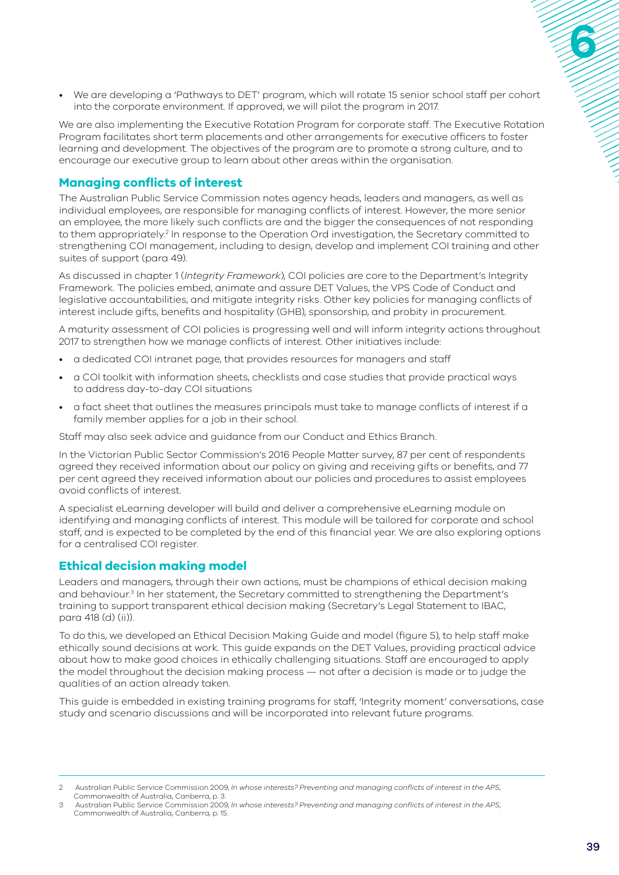<span id="page-38-0"></span>• We are developing a 'Pathways to DET' program, which will rotate 15 senior school staff per cohort into the corporate environment. If approved, we will pilot the program in 2017.

We are also implementing the Executive Rotation Program for corporate staff. The Executive Rotation Program facilitates short term placements and other arrangements for executive officers to foster learning and development. The objectives of the program are to promote a strong culture, and to encourage our executive group to learn about other areas within the organisation.

## **Managing conflicts of interest**

The Australian Public Service Commission notes agency heads, leaders and managers, as well as individual employees, are responsible for managing conflicts of interest. However, the more senior an employee, the more likely such conflicts are and the bigger the consequences of not responding to them appropriately.<sup>2</sup> In response to the Operation Ord investigation, the Secretary committed to strengthening COI management, including to design, develop and implement COI training and other suites of support (para 49).

As discussed in chapter 1 (*Integrity Framework*), COI policies are core to the Department's Integrity Framework. The policies embed, animate and assure DET Values, the VPS Code of Conduct and legislative accountabilities, and mitigate integrity risks. Other key policies for managing conflicts of interest include gifts, benefits and hospitality (GHB), sponsorship, and probity in procurement.

A maturity assessment of COI policies is progressing well and will inform integrity actions throughout 2017 to strengthen how we manage conflicts of interest. Other initiatives include:

- a dedicated COI intranet page, that provides resources for managers and staff
- a COI toolkit with information sheets, checklists and case studies that provide practical ways to address day-to-day COI situations
- a fact sheet that outlines the measures principals must take to manage conflicts of interest if a family member applies for a job in their school.

Staff may also seek advice and guidance from our Conduct and Ethics Branch.

In the Victorian Public Sector Commission's 2016 People Matter survey, 87 per cent of respondents agreed they received information about our policy on giving and receiving gifts or benefits, and 77 per cent agreed they received information about our policies and procedures to assist employees avoid conflicts of interest.

A specialist eLearning developer will build and deliver a comprehensive eLearning module on identifying and managing conflicts of interest. This module will be tailored for corporate and school staff, and is expected to be completed by the end of this financial year. We are also exploring options for a centralised COI register.

## **Ethical decision making model**

Leaders and managers, through their own actions, must be champions of ethical decision making and behaviour.<sup>3</sup> In her statement, the Secretary committed to strengthening the Department's training to support transparent ethical decision making (Secretary's Legal Statement to IBAC, para 418 (d) (ii)).

To do this, we developed an Ethical Decision Making Guide and model (figure 5), to help staff make ethically sound decisions at work. This guide expands on the DET Values, providing practical advice about how to make good choices in ethically challenging situations. Staff are encouraged to apply the model throughout the decision making process — not after a decision is made or to judge the qualities of an action already taken.

This guide is embedded in existing training programs for staff, 'Integrity moment' conversations, case study and scenario discussions and will be incorporated into relevant future programs.

<sup>2</sup> Australian Public Service Commission 2009, *In whose interests? Preventing and managing conflicts of interest in the APS*, Commonwealth of Australia, Canberra, p. 3.

<sup>3</sup> Australian Public Service Commission 2009, *In whose interests? Preventing and managing conflicts of interest in the APS*, Commonwealth of Australia, Canberra, p. 15.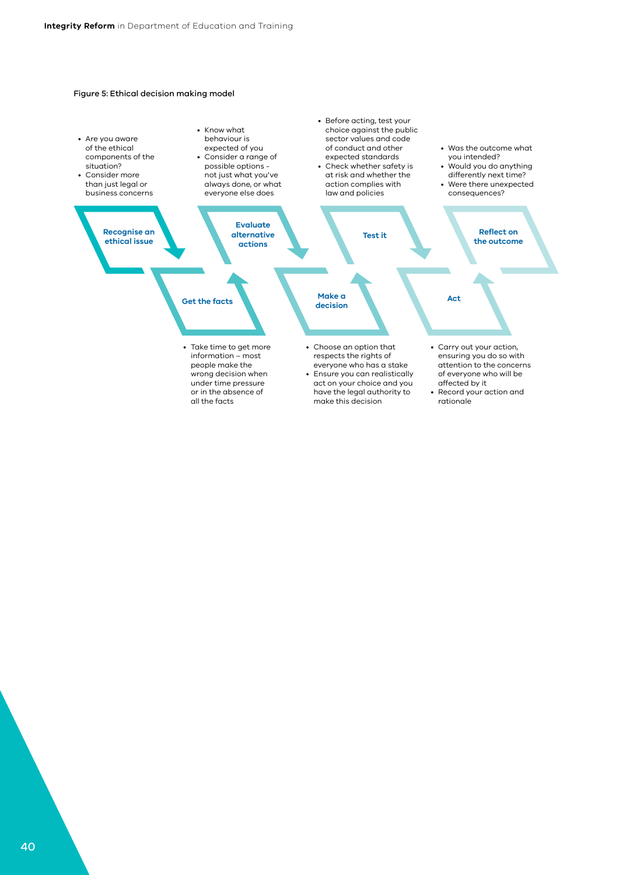#### Figure 5: Ethical decision making model

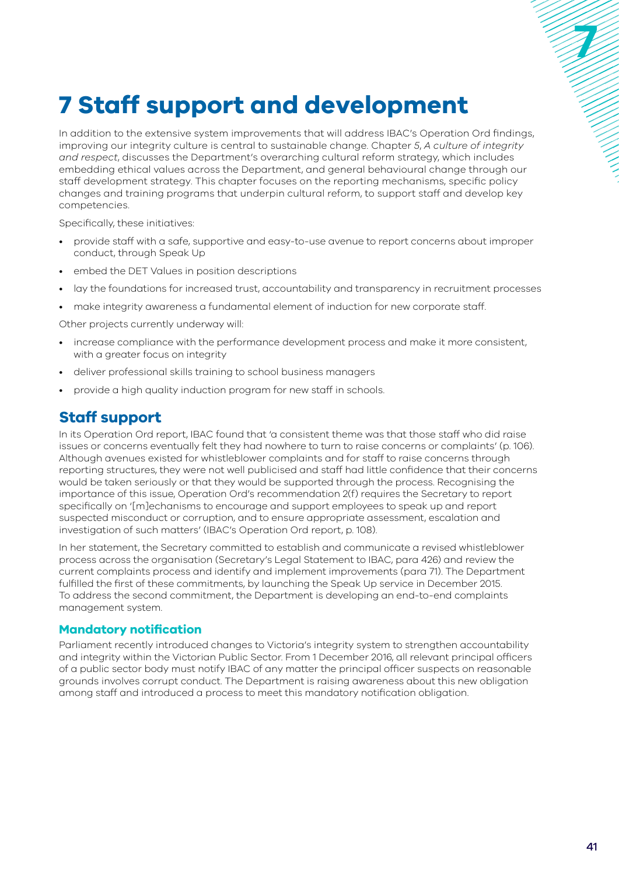## <span id="page-40-0"></span>**7 Staff support and development**

In addition to the extensive system improvements that will address IBAC's Operation Ord findings, improving our integrity culture is central to sustainable change. Chapter *5*, *A culture of integrity and respect*, discusses the Department's overarching cultural reform strategy, which includes embedding ethical values across the Department, and general behavioural change through our staff development strategy. This chapter focuses on the reporting mechanisms, specific policy changes and training programs that underpin cultural reform, to support staff and develop key competencies.

Specifically, these initiatives:

- provide staff with a safe, supportive and easy-to-use avenue to report concerns about improper conduct, through Speak Up
- embed the DET Values in position descriptions
- lay the foundations for increased trust, accountability and transparency in recruitment processes
- make integrity awareness a fundamental element of induction for new corporate staff.

Other projects currently underway will:

- increase compliance with the performance development process and make it more consistent, with a greater focus on integrity
- deliver professional skills training to school business managers
- provide a high quality induction program for new staff in schools.

## **Staff support**

In its Operation Ord report, IBAC found that 'a consistent theme was that those staff who did raise issues or concerns eventually felt they had nowhere to turn to raise concerns or complaints' (p. 106). Although avenues existed for whistleblower complaints and for staff to raise concerns through reporting structures, they were not well publicised and staff had little confidence that their concerns would be taken seriously or that they would be supported through the process. Recognising the importance of this issue, Operation Ord's recommendation 2(f) requires the Secretary to report specifically on '[m]echanisms to encourage and support employees to speak up and report suspected misconduct or corruption, and to ensure appropriate assessment, escalation and investigation of such matters' (IBAC's Operation Ord report, p. 108).

In her statement, the Secretary committed to establish and communicate a revised whistleblower process across the organisation (Secretary's Legal Statement to IBAC, para 426) and review the current complaints process and identify and implement improvements (para 71). The Department fulfilled the first of these commitments, by launching the Speak Up service in December 2015. To address the second commitment, the Department is developing an end-to-end complaints management system.

## **Mandatory notification**

Parliament recently introduced changes to Victoria's integrity system to strengthen accountability and integrity within the Victorian Public Sector. From 1 December 2016, all relevant principal officers of a public sector body must notify IBAC of any matter the principal officer suspects on reasonable grounds involves corrupt conduct. The Department is raising awareness about this new obligation among staff and introduced a process to meet this mandatory notification obligation.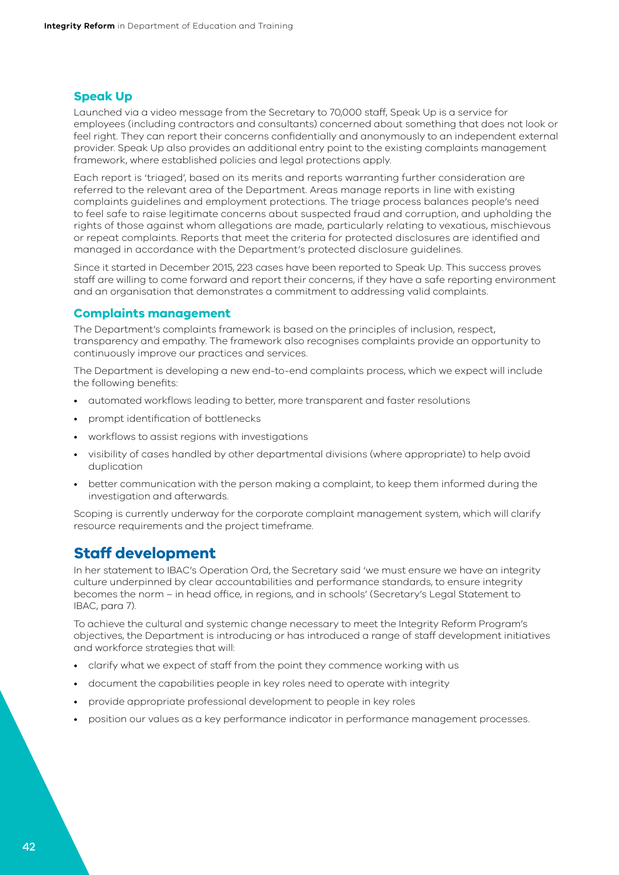## <span id="page-41-0"></span>**Speak Up**

Launched via a video message from the Secretary to 70,000 staff, Speak Up is a service for employees (including contractors and consultants) concerned about something that does not look or feel right. They can report their concerns confidentially and anonymously to an independent external provider. Speak Up also provides an additional entry point to the existing complaints management framework, where established policies and legal protections apply.

Each report is 'triaged', based on its merits and reports warranting further consideration are referred to the relevant area of the Department. Areas manage reports in line with existing complaints guidelines and employment protections. The triage process balances people's need to feel safe to raise legitimate concerns about suspected fraud and corruption, and upholding the rights of those against whom allegations are made, particularly relating to vexatious, mischievous or repeat complaints. Reports that meet the criteria for protected disclosures are identified and managed in accordance with the Department's protected disclosure guidelines.

Since it started in December 2015, 223 cases have been reported to Speak Up. This success proves staff are willing to come forward and report their concerns, if they have a safe reporting environment and an organisation that demonstrates a commitment to addressing valid complaints.

### **Complaints management**

The Department's complaints framework is based on the principles of inclusion, respect, transparency and empathy. The framework also recognises complaints provide an opportunity to continuously improve our practices and services.

The Department is developing a new end-to-end complaints process, which we expect will include the following benefits:

- automated workflows leading to better, more transparent and faster resolutions
- prompt identification of bottlenecks
- workflows to assist regions with investigations
- visibility of cases handled by other departmental divisions (where appropriate) to help avoid duplication
- better communication with the person making a complaint, to keep them informed during the investigation and afterwards.

Scoping is currently underway for the corporate complaint management system, which will clarify resource requirements and the project timeframe.

## **Staff development**

In her statement to IBAC's Operation Ord, the Secretary said 'we must ensure we have an integrity culture underpinned by clear accountabilities and performance standards, to ensure integrity becomes the norm – in head office, in regions, and in schools' (Secretary's Legal Statement to IBAC, para 7).

To achieve the cultural and systemic change necessary to meet the Integrity Reform Program's objectives, the Department is introducing or has introduced a range of staff development initiatives and workforce strategies that will:

- clarify what we expect of staff from the point they commence working with us
- document the capabilities people in key roles need to operate with integrity
- provide appropriate professional development to people in key roles
- position our values as a key performance indicator in performance management processes.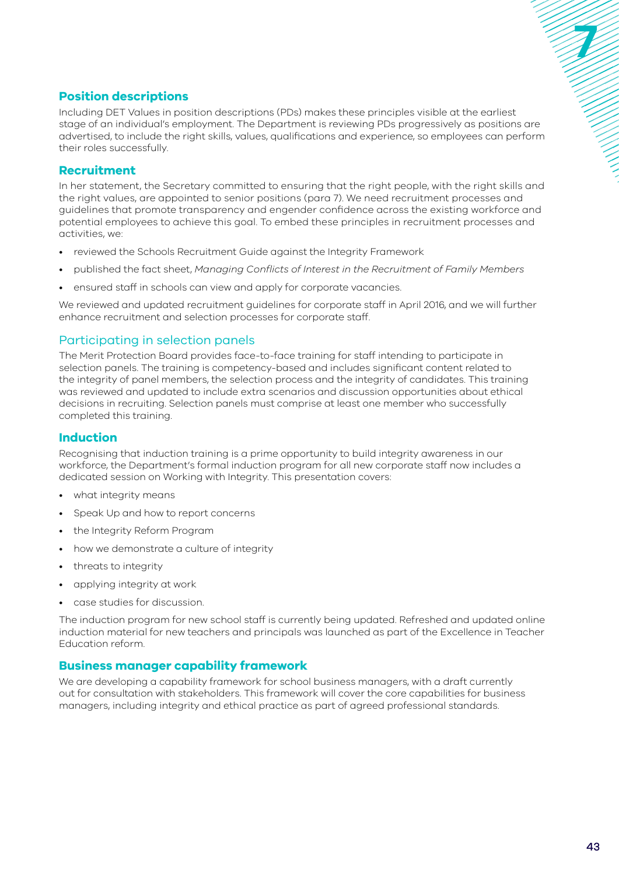## <span id="page-42-0"></span>**Position descriptions**

Including DET Values in position descriptions (PDs) makes these principles visible at the earliest stage of an individual's employment. The Department is reviewing PDs progressively as positions are advertised, to include the right skills, values, qualifications and experience, so employees can perform their roles successfully.

## **Recruitment**

In her statement, the Secretary committed to ensuring that the right people, with the right skills and the right values, are appointed to senior positions (para 7). We need recruitment processes and guidelines that promote transparency and engender confidence across the existing workforce and potential employees to achieve this goal. To embed these principles in recruitment processes and activities, we:

- reviewed the Schools Recruitment Guide against the Integrity Framework
- published the fact sheet, *Managing Conflicts of Interest in the Recruitment of Family Members*
- ensured staff in schools can view and apply for corporate vacancies.

We reviewed and updated recruitment guidelines for corporate staff in April 2016, and we will further enhance recruitment and selection processes for corporate staff.

## Participating in selection panels

The Merit Protection Board provides face-to-face training for staff intending to participate in selection panels. The training is competency-based and includes significant content related to the integrity of panel members, the selection process and the integrity of candidates. This training was reviewed and updated to include extra scenarios and discussion opportunities about ethical decisions in recruiting. Selection panels must comprise at least one member who successfully completed this training.

## **Induction**

Recognising that induction training is a prime opportunity to build integrity awareness in our workforce, the Department's formal induction program for all new corporate staff now includes a dedicated session on Working with Integrity. This presentation covers:

- what integrity means
- Speak Up and how to report concerns
- the Integrity Reform Program
- how we demonstrate a culture of integrity
- threats to integrity
- applying integrity at work
- case studies for discussion.

The induction program for new school staff is currently being updated. Refreshed and updated online induction material for new teachers and principals was launched as part of the Excellence in Teacher Education reform.

## **Business manager capability framework**

We are developing a capability framework for school business managers, with a draft currently out for consultation with stakeholders. This framework will cover the core capabilities for business managers, including integrity and ethical practice as part of agreed professional standards.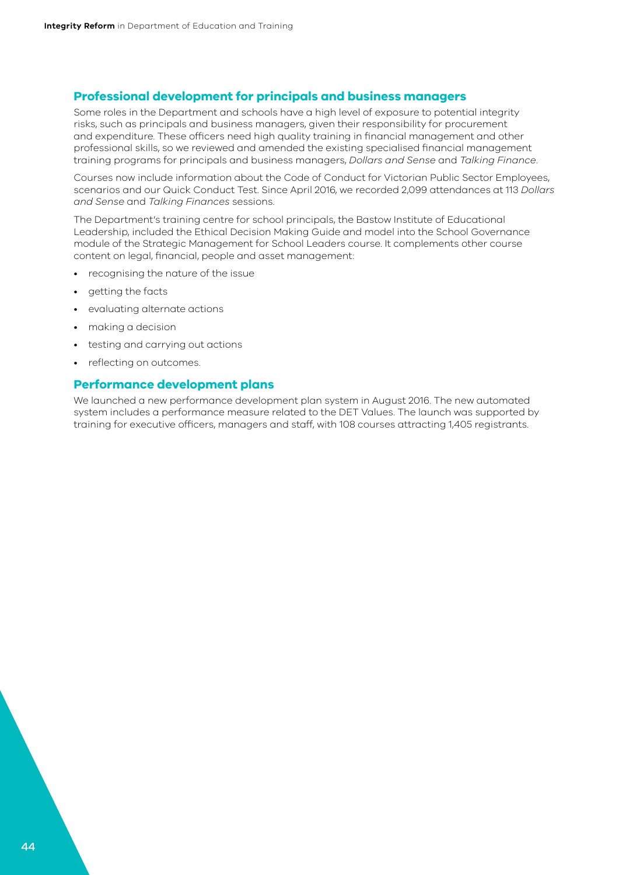#### <span id="page-43-0"></span>**Professional development for principals and business managers**

Some roles in the Department and schools have a high level of exposure to potential integrity risks, such as principals and business managers, given their responsibility for procurement and expenditure. These officers need high quality training in financial management and other professional skills, so we reviewed and amended the existing specialised financial management training programs for principals and business managers, *Dollars and Sense* and *Talking Finance*.

Courses now include information about the Code of Conduct for Victorian Public Sector Employees, scenarios and our Quick Conduct Test. Since April 2016, we recorded 2,099 attendances at 113 *Dollars and Sense* and *Talking Finances* sessions.

The Department's training centre for school principals, the Bastow Institute of Educational Leadership, included the Ethical Decision Making Guide and model into the School Governance module of the Strategic Management for School Leaders course. It complements other course content on legal, financial, people and asset management:

- recognising the nature of the issue
- getting the facts
- evaluating alternate actions
- making a decision
- testing and carrying out actions
- reflecting on outcomes.

### **Performance development plans**

We launched a new performance development plan system in August 2016. The new automated system includes a performance measure related to the DET Values. The launch was supported by training for executive officers, managers and staff, with 108 courses attracting 1,405 registrants.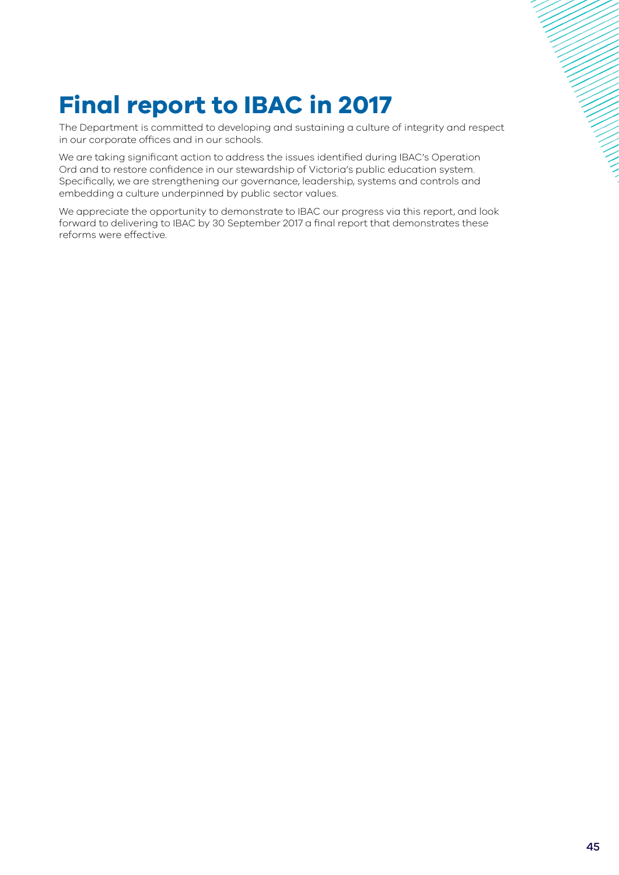# **Final report to IBAC in 2017**

The Department is committed to developing and sustaining a culture of integrity and respect in our corporate offices and in our schools.

We are taking significant action to address the issues identified during IBAC's Operation Ord and to restore confidence in our stewardship of Victoria's public education system. Specifically, we are strengthening our governance, leadership, systems and controls and embedding a culture underpinned by public sector values.

We appreciate the opportunity to demonstrate to IBAC our progress via this report, and look forward to delivering to IBAC by 30 September 2017 a final report that demonstrates these reforms were effective.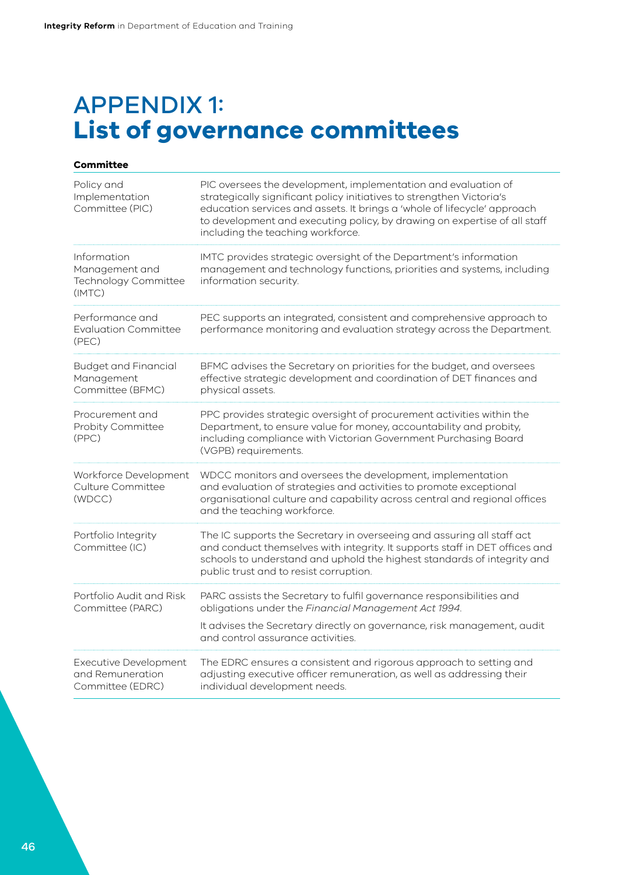## APPENDIX 1: **List of governance committees**

| Committee                                                       |                                                                                                                                                                                                                                                                                                                                       |  |  |
|-----------------------------------------------------------------|---------------------------------------------------------------------------------------------------------------------------------------------------------------------------------------------------------------------------------------------------------------------------------------------------------------------------------------|--|--|
| Policy and<br>Implementation<br>Committee (PIC)                 | PIC oversees the development, implementation and evaluation of<br>strategically significant policy initiatives to strengthen Victoria's<br>education services and assets. It brings a 'whole of lifecycle' approach<br>to development and executing policy, by drawing on expertise of all staff<br>including the teaching workforce. |  |  |
| Information<br>Management and<br>Technology Committee<br>(IMTC) | IMTC provides strategic oversight of the Department's information<br>management and technology functions, priorities and systems, including<br>information security.                                                                                                                                                                  |  |  |
| Performance and<br><b>Evaluation Committee</b><br>(PEC)         | PEC supports an integrated, consistent and comprehensive approach to<br>performance monitoring and evaluation strategy across the Department.                                                                                                                                                                                         |  |  |
| <b>Budget and Financial</b><br>Management<br>Committee (BFMC)   | BFMC advises the Secretary on priorities for the budget, and oversees<br>effective strategic development and coordination of DET finances and<br>physical assets.                                                                                                                                                                     |  |  |
| Procurement and<br>Probity Committee<br>(PPC)                   | PPC provides strategic oversight of procurement activities within the<br>Department, to ensure value for money, accountability and probity,<br>including compliance with Victorian Government Purchasing Board<br>(VGPB) requirements.                                                                                                |  |  |
| Workforce Development<br>Culture Committee<br>(WDCC)            | WDCC monitors and oversees the development, implementation<br>and evaluation of strategies and activities to promote exceptional<br>organisational culture and capability across central and regional offices<br>and the teaching workforce.                                                                                          |  |  |
| Portfolio Integrity<br>Committee (IC)                           | The IC supports the Secretary in overseeing and assuring all staff act<br>and conduct themselves with integrity. It supports staff in DET offices and<br>schools to understand and uphold the highest standards of integrity and<br>public trust and to resist corruption.                                                            |  |  |
| Portfolio Audit and Risk<br>Committee (PARC)                    | PARC assists the Secretary to fulfil governance responsibilities and<br>obligations under the Financial Management Act 1994.<br>It advises the Secretary directly on governance, risk management, audit<br>and control assurance activities.                                                                                          |  |  |
| Executive Development<br>and Remuneration<br>Committee (EDRC)   | The EDRC ensures a consistent and rigorous approach to setting and<br>adjusting executive officer remuneration, as well as addressing their<br>individual development needs.                                                                                                                                                          |  |  |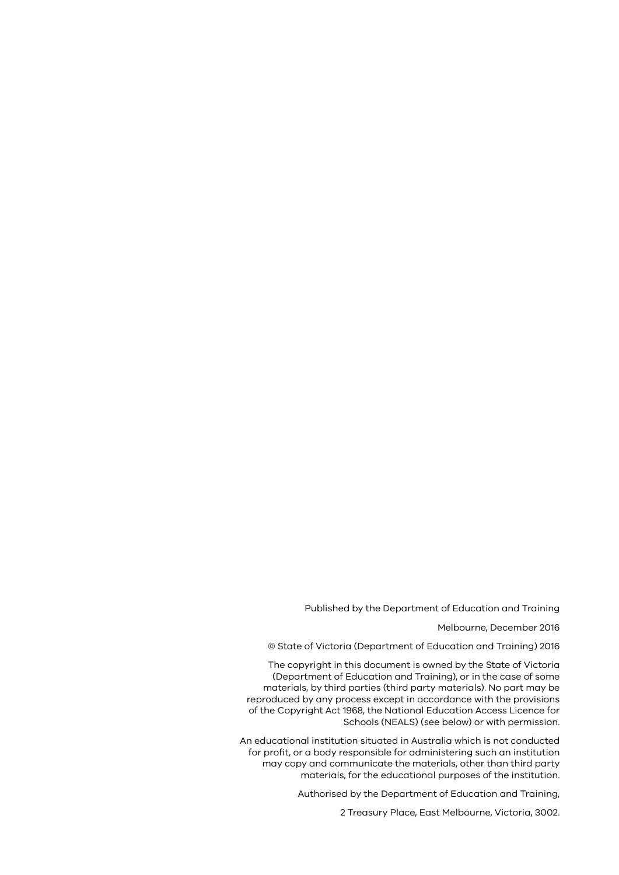#### Published by the Department of Education and Training

Melbourne, December 2016

© State of Victoria (Department of Education and Training) 2016

The copyright in this document is owned by the State of Victoria (Department of Education and Training), or in the case of some materials, by third parties (third party materials). No part may be reproduced by any process except in accordance with the provisions of the Copyright Act 1968, the National Education Access Licence for Schools (NEALS) (see below) or with permission.

An educational institution situated in Australia which is not conducted for profit, or a body responsible for administering such an institution may copy and communicate the materials, other than third party materials, for the educational purposes of the institution.

Authorised by the Department of Education and Training,

2 Treasury Place, East Melbourne, Victoria, 3002.